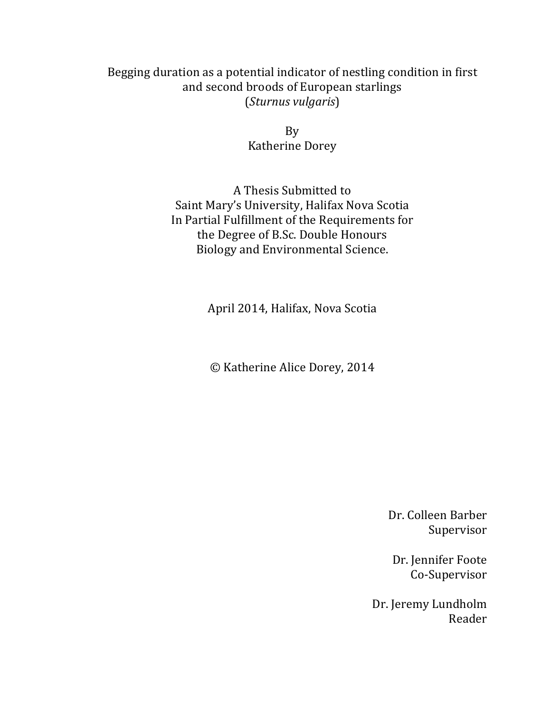# Begging duration as a potential indicator of nestling condition in first and second broods of European starlings (*Sturnus vulgaris*)

By **Katherine Dorey** 

A Thesis Submitted to Saint Mary's University, Halifax Nova Scotia In Partial Fulfillment of the Requirements for the Degree of B.Sc. Double Honours Biology and Environmental Science.

April 2014, Halifax, Nova Scotia

© Katherine Alice Dorey, 2014

Dr. Colleen Barber Supervisor

Dr. Jennifer Foote Co-Supervisor

Dr. Jeremy Lundholm Reader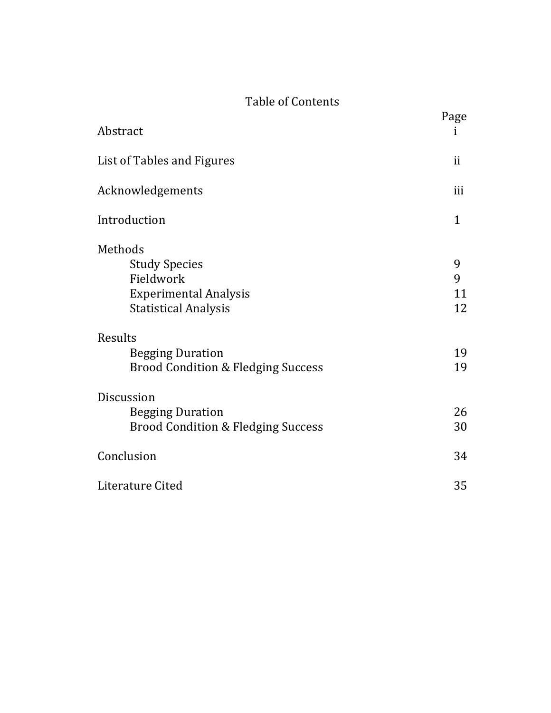# Table of Contents

| Abstract                                                                                                    | Page<br>ī          |
|-------------------------------------------------------------------------------------------------------------|--------------------|
| List of Tables and Figures                                                                                  | ii                 |
| Acknowledgements                                                                                            | iii                |
| Introduction                                                                                                | $\mathbf{1}$       |
| Methods<br><b>Study Species</b><br>Fieldwork<br><b>Experimental Analysis</b><br><b>Statistical Analysis</b> | 9<br>9<br>11<br>12 |
| Results<br><b>Begging Duration</b><br><b>Brood Condition &amp; Fledging Success</b>                         | 19<br>19           |
| Discussion<br><b>Begging Duration</b><br><b>Brood Condition &amp; Fledging Success</b>                      | 26<br>30           |
| Conclusion                                                                                                  | 34                 |
| Literature Cited                                                                                            | 35                 |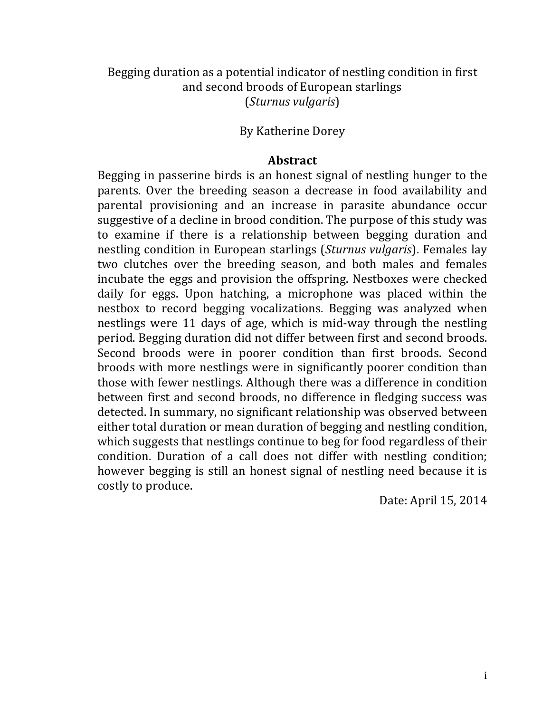# Begging duration as a potential indicator of nestling condition in first and second broods of European starlings (*Sturnus vulgaris*)

# By Katherine Dorey

# **Abstract**

Begging in passerine birds is an honest signal of nestling hunger to the parents. Over the breeding season a decrease in food availability and parental provisioning and an increase in parasite abundance occur suggestive of a decline in brood condition. The purpose of this study was to examine if there is a relationship between begging duration and nestling condition in European starlings (*Sturnus vulgaris*). Females lay two clutches over the breeding season, and both males and females incubate the eggs and provision the offspring. Nestboxes were checked daily for eggs. Upon hatching, a microphone was placed within the nestbox to record begging vocalizations. Begging was analyzed when nestlings were 11 days of age, which is mid-way through the nestling period. Begging duration did not differ between first and second broods. Second broods were in poorer condition than first broods. Second broods with more nestlings were in significantly poorer condition than those with fewer nestlings. Although there was a difference in condition between first and second broods, no difference in fledging success was detected. In summary, no significant relationship was observed between either total duration or mean duration of begging and nestling condition, which suggests that nestlings continue to beg for food regardless of their condition. Duration of a call does not differ with nestling condition; however begging is still an honest signal of nestling need because it is costly to produce.

Date: April 15, 2014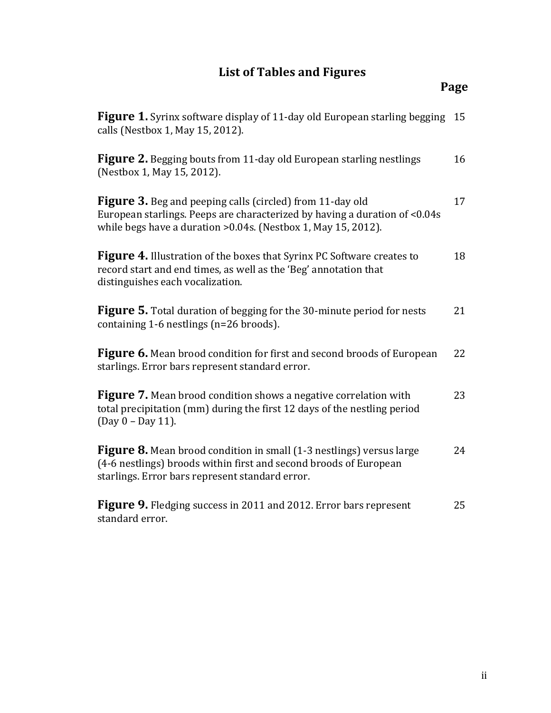# **List of Tables and Figures**

| Figure 1. Syrinx software display of 11-day old European starling begging<br>calls (Nestbox 1, May 15, 2012).                                                                                                    | 15 |
|------------------------------------------------------------------------------------------------------------------------------------------------------------------------------------------------------------------|----|
| <b>Figure 2.</b> Begging bouts from 11-day old European starling nestlings<br>(Nestbox 1, May 15, 2012).                                                                                                         | 16 |
| <b>Figure 3.</b> Beg and peeping calls (circled) from 11-day old<br>European starlings. Peeps are characterized by having a duration of <0.04s<br>while begs have a duration > 0.04s. (Nestbox 1, May 15, 2012). | 17 |
| Figure 4. Illustration of the boxes that Syrinx PC Software creates to<br>record start and end times, as well as the 'Beg' annotation that<br>distinguishes each vocalization.                                   | 18 |
| <b>Figure 5.</b> Total duration of begging for the 30-minute period for nests<br>containing 1-6 nestlings (n=26 broods).                                                                                         | 21 |
| <b>Figure 6.</b> Mean brood condition for first and second broods of European<br>starlings. Error bars represent standard error.                                                                                 | 22 |
| <b>Figure 7.</b> Mean brood condition shows a negative correlation with<br>total precipitation (mm) during the first 12 days of the nestling period<br>(Day 0 - Day 11).                                         | 23 |
| Figure 8. Mean brood condition in small (1-3 nestlings) versus large<br>(4-6 nestlings) broods within first and second broods of European<br>starlings. Error bars represent standard error.                     | 24 |
| <b>Figure 9.</b> Fledging success in 2011 and 2012. Error bars represent<br>standard error.                                                                                                                      | 25 |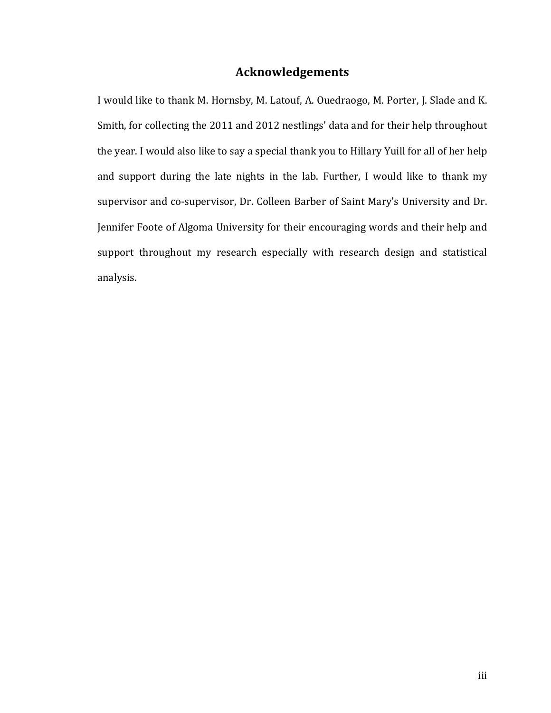# **Acknowledgements**

I would like to thank M. Hornsby, M. Latouf, A. Ouedraogo, M. Porter, J. Slade and K. Smith, for collecting the 2011 and 2012 nestlings' data and for their help throughout the year. I would also like to say a special thank you to Hillary Yuill for all of her help and support during the late nights in the lab. Further, I would like to thank my supervisor and co-supervisor, Dr. Colleen Barber of Saint Mary's University and Dr. Jennifer Foote of Algoma University for their encouraging words and their help and support throughout my research especially with research design and statistical analysis.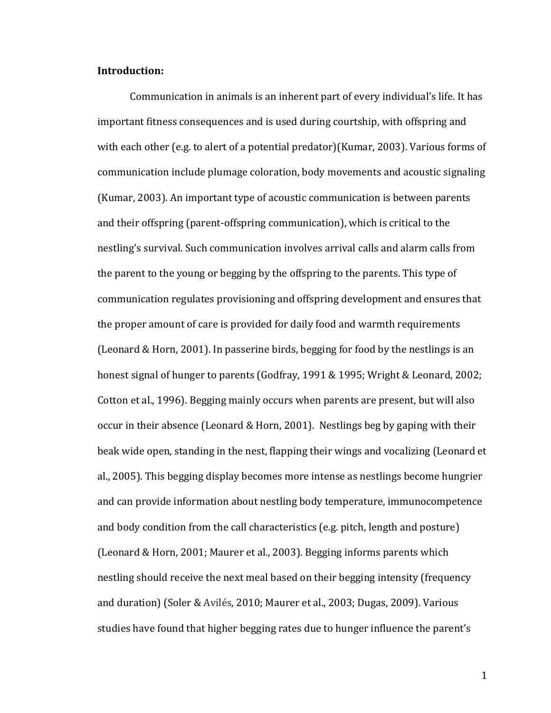## **Introduction:**

Communication in animals is an inherent part of every individual's life. It has important fitness consequences and is used during courtship, with offspring and with each other (e.g. to alert of a potential predator)(Kumar, 2003). Various forms of communication include plumage coloration, body movements and acoustic signaling (Kumar, 2003). An important type of acoustic communication is between parents and their offspring (parent-offspring communication), which is critical to the nestling's survival. Such communication involves arrival calls and alarm calls from the parent to the young or begging by the offspring to the parents. This type of communication regulates provisioning and offspring development and ensures that the proper amount of care is provided for daily food and warmth requirements (Leonard & Horn, 2001). In passerine birds, begging for food by the nestlings is an honest signal of hunger to parents (Godfray, 1991 & 1995; Wright & Leonard, 2002; Cotton et al., 1996). Begging mainly occurs when parents are present, but will also occur in their absence (Leonard & Horn, 2001). Nestlings beg by gaping with their beak wide open, standing in the nest, flapping their wings and vocalizing (Leonard et al., 2005). This begging display becomes more intense as nestlings become hungrier and can provide information about nestling body temperature, immunocompetence and body condition from the call characteristics  $(e.g., pitch, length, and posture)$ (Leonard & Horn, 2001; Maurer et al., 2003). Begging informs parents which nestling should receive the next meal based on their begging intensity (frequency and duration) (Soler & Avilés, 2010; Maurer et al., 2003; Dugas, 2009). Various studies have found that higher begging rates due to hunger influence the parent's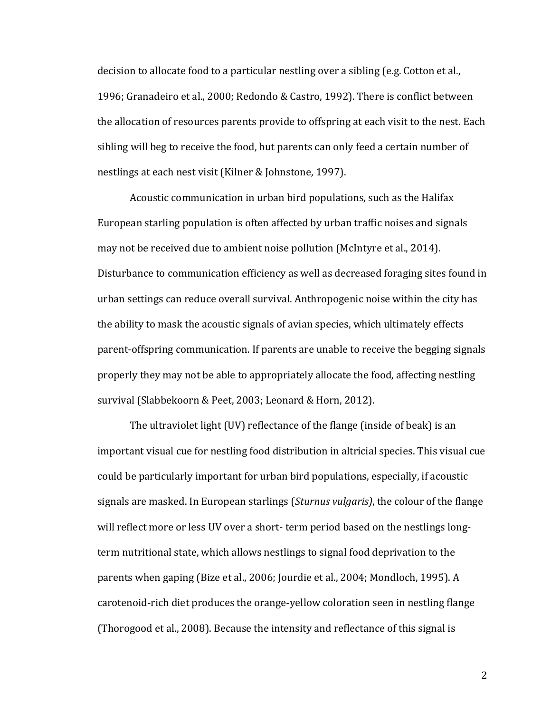decision to allocate food to a particular nestling over a sibling (e.g. Cotton et al., 1996; Granadeiro et al., 2000; Redondo & Castro, 1992). There is conflict between the allocation of resources parents provide to offspring at each visit to the nest. Each sibling will beg to receive the food, but parents can only feed a certain number of nestlings at each nest visit (Kilner & Johnstone, 1997).

Acoustic communication in urban bird populations, such as the Halifax European starling population is often affected by urban traffic noises and signals may not be received due to ambient noise pollution (McIntyre et al., 2014). Disturbance to communication efficiency as well as decreased foraging sites found in urban settings can reduce overall survival. Anthropogenic noise within the city has the ability to mask the acoustic signals of avian species, which ultimately effects parent-offspring communication. If parents are unable to receive the begging signals properly they may not be able to appropriately allocate the food, affecting nestling survival (Slabbekoorn & Peet, 2003; Leonard & Horn, 2012).

The ultraviolet light (UV) reflectance of the flange (inside of beak) is an important visual cue for nestling food distribution in altricial species. This visual cue could be particularly important for urban bird populations, especially, if acoustic signals are masked. In European starlings (*Sturnus vulgaris*), the colour of the flange will reflect more or less UV over a short- term period based on the nestlings longterm nutritional state, which allows nestlings to signal food deprivation to the parents when gaping (Bize et al., 2006; Jourdie et al., 2004; Mondloch, 1995). A carotenoid-rich diet produces the orange-yellow coloration seen in nestling flange (Thorogood et al., 2008). Because the intensity and reflectance of this signal is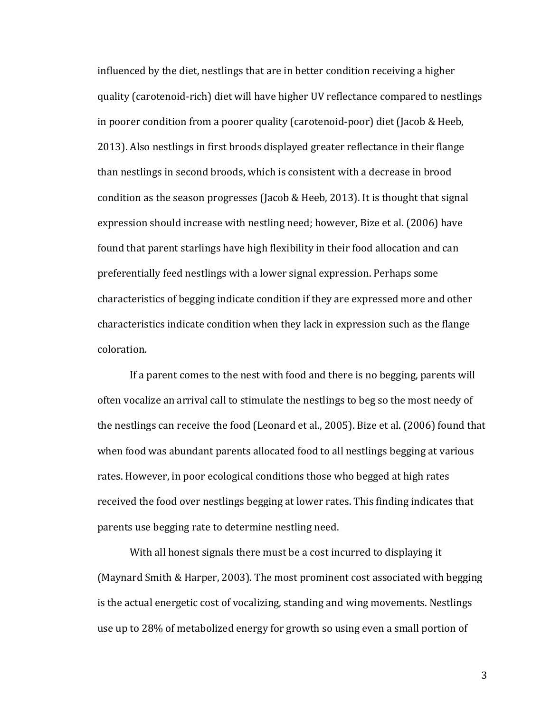influenced by the diet, nestlings that are in better condition receiving a higher quality (carotenoid-rich) diet will have higher UV reflectance compared to nestlings in poorer condition from a poorer quality (carotenoid-poor) diet (Jacob & Heeb, 2013). Also nestlings in first broods displayed greater reflectance in their flange than nestlings in second broods, which is consistent with a decrease in brood condition as the season progresses (Jacob & Heeb, 2013). It is thought that signal expression should increase with nestling need; however, Bize et al. (2006) have found that parent starlings have high flexibility in their food allocation and can preferentially feed nestlings with a lower signal expression. Perhaps some characteristics of begging indicate condition if they are expressed more and other characteristics indicate condition when they lack in expression such as the flange coloration.

If a parent comes to the nest with food and there is no begging, parents will often vocalize an arrival call to stimulate the nestlings to beg so the most needy of the nestlings can receive the food (Leonard et al., 2005). Bize et al. (2006) found that when food was abundant parents allocated food to all nestlings begging at various rates. However, in poor ecological conditions those who begged at high rates received the food over nestlings begging at lower rates. This finding indicates that parents use begging rate to determine nestling need.

With all honest signals there must be a cost incurred to displaying it (Maynard Smith & Harper, 2003). The most prominent cost associated with begging is the actual energetic cost of vocalizing, standing and wing movements. Nestlings use up to 28% of metabolized energy for growth so using even a small portion of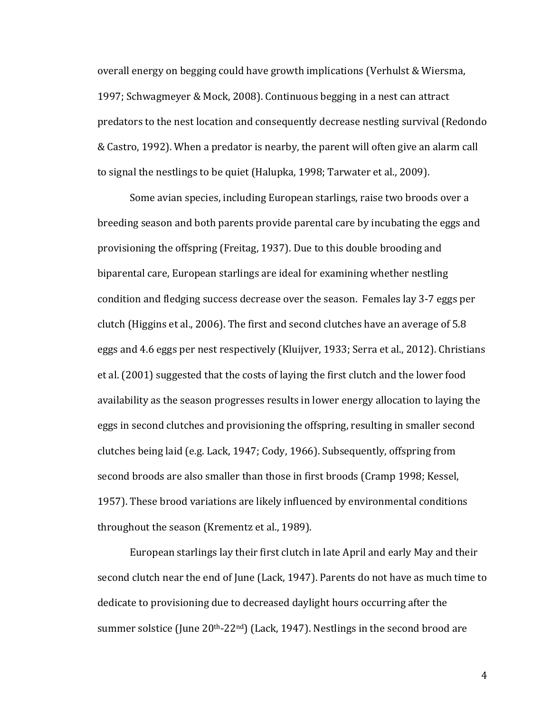overall energy on begging could have growth implications (Verhulst & Wiersma, 1997; Schwagmeyer & Mock, 2008). Continuous begging in a nest can attract predators to the nest location and consequently decrease nestling survival (Redondo & Castro, 1992). When a predator is nearby, the parent will often give an alarm call to signal the nestlings to be quiet (Halupka, 1998; Tarwater et al., 2009).

Some avian species, including European starlings, raise two broods over a breeding season and both parents provide parental care by incubating the eggs and provisioning the offspring (Freitag, 1937). Due to this double brooding and biparental care, European starlings are ideal for examining whether nestling condition and fledging success decrease over the season. Females lay 3-7 eggs per clutch (Higgins et al., 2006). The first and second clutches have an average of  $5.8$ eggs and 4.6 eggs per nest respectively (Kluijver, 1933; Serra et al., 2012). Christians et al. (2001) suggested that the costs of laying the first clutch and the lower food availability as the season progresses results in lower energy allocation to laying the eggs in second clutches and provisioning the offspring, resulting in smaller second clutches being laid (e.g. Lack, 1947; Cody, 1966). Subsequently, offspring from second broods are also smaller than those in first broods (Cramp 1998; Kessel, 1957). These brood variations are likely influenced by environmental conditions throughout the season (Krementz et al., 1989).

European starlings lay their first clutch in late April and early May and their second clutch near the end of June (Lack, 1947). Parents do not have as much time to dedicate to provisioning due to decreased daylight hours occurring after the summer solstice (June  $20<sup>th</sup>$ -22<sup>nd</sup>) (Lack, 1947). Nestlings in the second brood are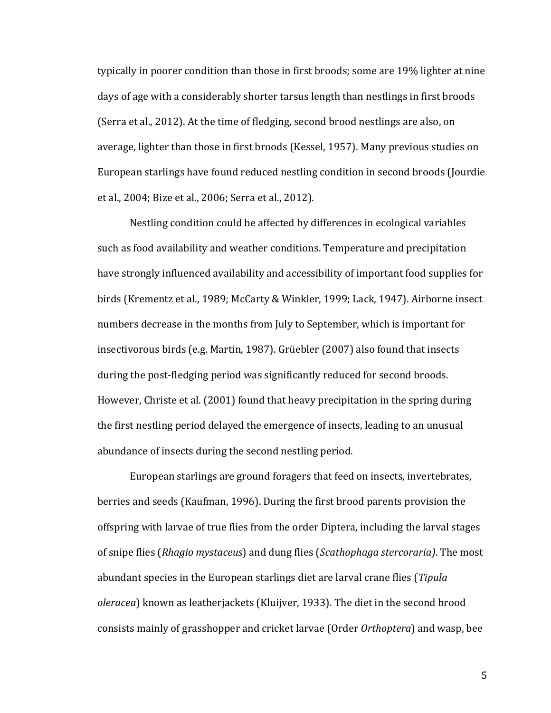typically in poorer condition than those in first broods; some are 19% lighter at nine days of age with a considerably shorter tarsus length than nestlings in first broods (Serra et al., 2012). At the time of fledging, second brood nestlings are also, on average, lighter than those in first broods (Kessel, 1957). Many previous studies on European starlings have found reduced nestling condition in second broods (Jourdie et al., 2004; Bize et al., 2006; Serra et al., 2012).

Nestling condition could be affected by differences in ecological variables such as food availability and weather conditions. Temperature and precipitation have strongly influenced availability and accessibility of important food supplies for birds (Krementz et al., 1989; McCarty & Winkler, 1999; Lack, 1947). Airborne insect numbers decrease in the months from July to September, which is important for insectivorous birds (e.g. Martin, 1987). Grüebler (2007) also found that insects during the post-fledging period was significantly reduced for second broods. However, Christe et al. (2001) found that heavy precipitation in the spring during the first nestling period delayed the emergence of insects, leading to an unusual abundance of insects during the second nestling period.

European starlings are ground foragers that feed on insects, invertebrates, berries and seeds (Kaufman, 1996). During the first brood parents provision the offspring with larvae of true flies from the order Diptera, including the larval stages of snipe flies (*Rhagio mystaceus*) and dung flies (*Scathophaga stercoraria*). The most abundant species in the European starlings diet are larval crane flies (*Tipula oleracea*) known as leatherjackets (Kluijver, 1933). The diet in the second brood consists mainly of grasshopper and cricket larvae (Order *Orthoptera*) and wasp, bee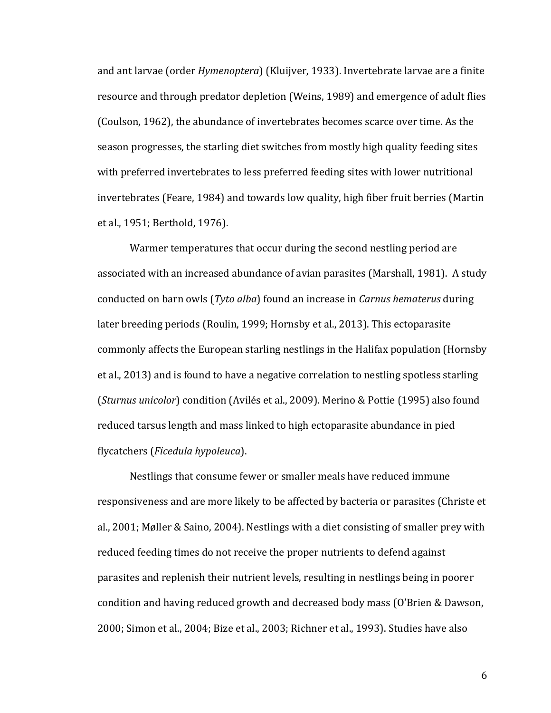and ant larvae (order *Hymenoptera*) (Kluijver, 1933). Invertebrate larvae are a finite resource and through predator depletion (Weins, 1989) and emergence of adult flies (Coulson, 1962), the abundance of invertebrates becomes scarce over time. As the season progresses, the starling diet switches from mostly high quality feeding sites with preferred invertebrates to less preferred feeding sites with lower nutritional invertebrates (Feare, 1984) and towards low quality, high fiber fruit berries (Martin et al., 1951; Berthold, 1976).

Warmer temperatures that occur during the second nestling period are associated with an increased abundance of avian parasites (Marshall, 1981). A study conducted on barn owls (*Tyto alba*) found an increase in *Carnus hematerus* during later breeding periods (Roulin, 1999; Hornsby et al., 2013). This ectoparasite commonly affects the European starling nestlings in the Halifax population (Hornsby et al., 2013) and is found to have a negative correlation to nestling spotless starling (*Sturnus unicolor*) condition (Avilés et al., 2009). Merino & Pottie (1995) also found reduced tarsus length and mass linked to high ectoparasite abundance in pied flycatchers (*Ficedula hypoleuca*). 

Nestlings that consume fewer or smaller meals have reduced immune responsiveness and are more likely to be affected by bacteria or parasites (Christe et al., 2001; Møller & Saino, 2004). Nestlings with a diet consisting of smaller prey with reduced feeding times do not receive the proper nutrients to defend against parasites and replenish their nutrient levels, resulting in nestlings being in poorer condition and having reduced growth and decreased body mass (O'Brien & Dawson, 2000; Simon et al., 2004; Bize et al., 2003; Richner et al., 1993). Studies have also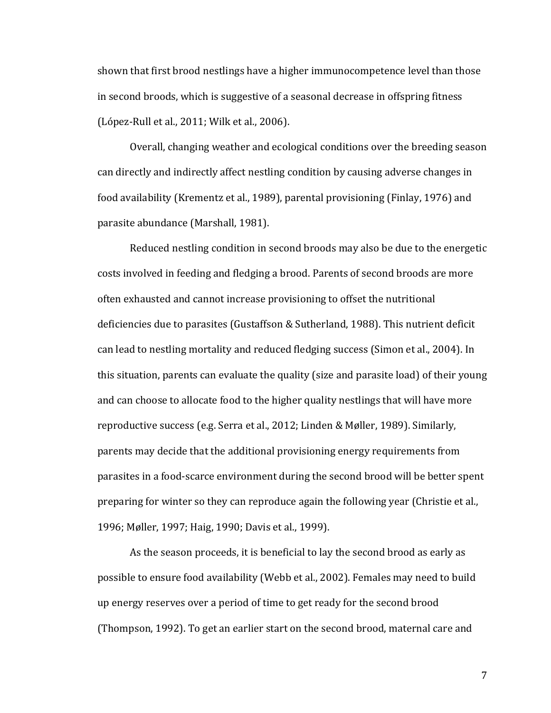shown that first brood nestlings have a higher immunocompetence level than those in second broods, which is suggestive of a seasonal decrease in offspring fitness  $(López-Rull et al., 2011; Wilk et al., 2006).$ 

Overall, changing weather and ecological conditions over the breeding season can directly and indirectly affect nestling condition by causing adverse changes in food availability (Krementz et al., 1989), parental provisioning (Finlay, 1976) and parasite abundance (Marshall, 1981).

Reduced nestling condition in second broods may also be due to the energetic costs involved in feeding and fledging a brood. Parents of second broods are more often exhausted and cannot increase provisioning to offset the nutritional deficiencies due to parasites (Gustaffson & Sutherland, 1988). This nutrient deficit can lead to nestling mortality and reduced fledging success (Simon et al., 2004). In this situation, parents can evaluate the quality (size and parasite load) of their young and can choose to allocate food to the higher quality nestlings that will have more reproductive success (e.g. Serra et al., 2012; Linden & Møller, 1989). Similarly, parents may decide that the additional provisioning energy requirements from parasites in a food-scarce environment during the second brood will be better spent preparing for winter so they can reproduce again the following year (Christie et al., 1996; Møller, 1997; Haig, 1990; Davis et al., 1999).

As the season proceeds, it is beneficial to lay the second brood as early as possible to ensure food availability (Webb et al., 2002). Females may need to build up energy reserves over a period of time to get ready for the second brood (Thompson, 1992). To get an earlier start on the second brood, maternal care and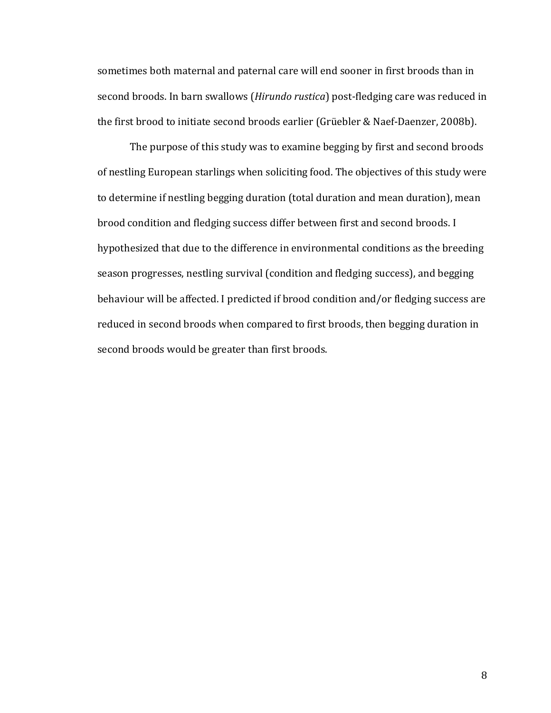sometimes both maternal and paternal care will end sooner in first broods than in second broods. In barn swallows (*Hirundo rustica*) post-fledging care was reduced in the first brood to initiate second broods earlier (Grüebler & Naef-Daenzer, 2008b).

The purpose of this study was to examine begging by first and second broods of nestling European starlings when soliciting food. The objectives of this study were to determine if nestling begging duration (total duration and mean duration), mean brood condition and fledging success differ between first and second broods. I hypothesized that due to the difference in environmental conditions as the breeding season progresses, nestling survival (condition and fledging success), and begging behaviour will be affected. I predicted if brood condition and/or fledging success are reduced in second broods when compared to first broods, then begging duration in second broods would be greater than first broods.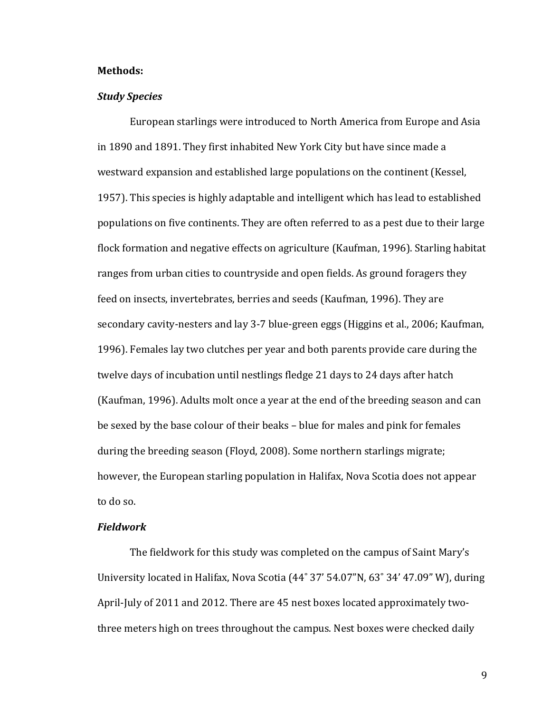#### **Methods:**

## *Study Species*

European starlings were introduced to North America from Europe and Asia in 1890 and 1891. They first inhabited New York City but have since made a westward expansion and established large populations on the continent (Kessel, 1957). This species is highly adaptable and intelligent which has lead to established populations on five continents. They are often referred to as a pest due to their large flock formation and negative effects on agriculture (Kaufman, 1996). Starling habitat ranges from urban cities to countryside and open fields. As ground foragers they feed on insects, invertebrates, berries and seeds (Kaufman, 1996). They are secondary cavity-nesters and lay 3-7 blue-green eggs (Higgins et al., 2006; Kaufman, 1996). Females lay two clutches per year and both parents provide care during the twelve days of incubation until nestlings fledge 21 days to 24 days after hatch (Kaufman, 1996). Adults molt once a year at the end of the breeding season and can be sexed by the base colour of their beaks – blue for males and pink for females during the breeding season (Floyd, 2008). Some northern starlings migrate; however, the European starling population in Halifax, Nova Scotia does not appear to do so.

#### *Fieldwork*

The fieldwork for this study was completed on the campus of Saint Mary's University located in Halifax, Nova Scotia (44° 37' 54.07"N, 63° 34' 47.09" W), during April-July of 2011 and 2012. There are 45 nest boxes located approximately twothree meters high on trees throughout the campus. Nest boxes were checked daily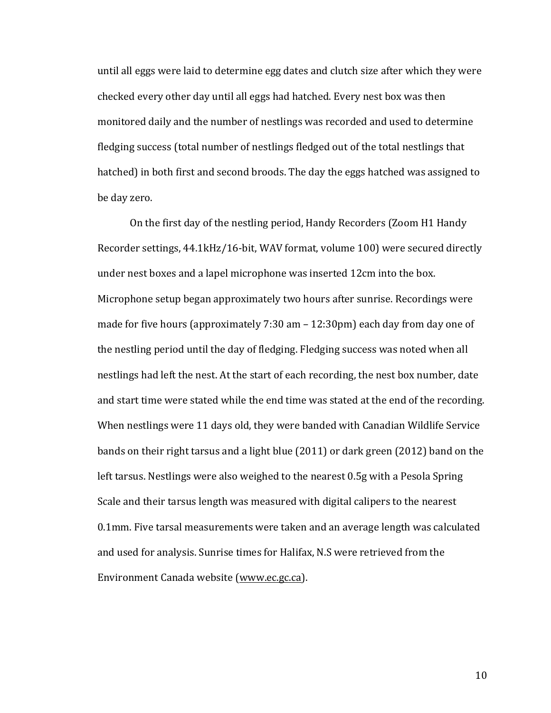until all eggs were laid to determine egg dates and clutch size after which they were checked every other day until all eggs had hatched. Every nest box was then monitored daily and the number of nestlings was recorded and used to determine fledging success (total number of nestlings fledged out of the total nestlings that hatched) in both first and second broods. The day the eggs hatched was assigned to be day zero.

On the first day of the nestling period, Handy Recorders (Zoom H1 Handy Recorder settings, 44.1kHz/16-bit, WAV format, volume 100) were secured directly under nest boxes and a lapel microphone was inserted 12cm into the box. Microphone setup began approximately two hours after sunrise. Recordings were made for five hours (approximately  $7:30$  am  $- 12:30$  pm) each day from day one of the nestling period until the day of fledging. Fledging success was noted when all nestlings had left the nest. At the start of each recording, the nest box number, date and start time were stated while the end time was stated at the end of the recording. When nestlings were 11 days old, they were banded with Canadian Wildlife Service bands on their right tarsus and a light blue  $(2011)$  or dark green  $(2012)$  band on the left tarsus. Nestlings were also weighed to the nearest 0.5g with a Pesola Spring Scale and their tarsus length was measured with digital calipers to the nearest 0.1mm. Five tarsal measurements were taken and an average length was calculated and used for analysis. Sunrise times for Halifax, N.S were retrieved from the Environment Canada website (www.ec.gc.ca).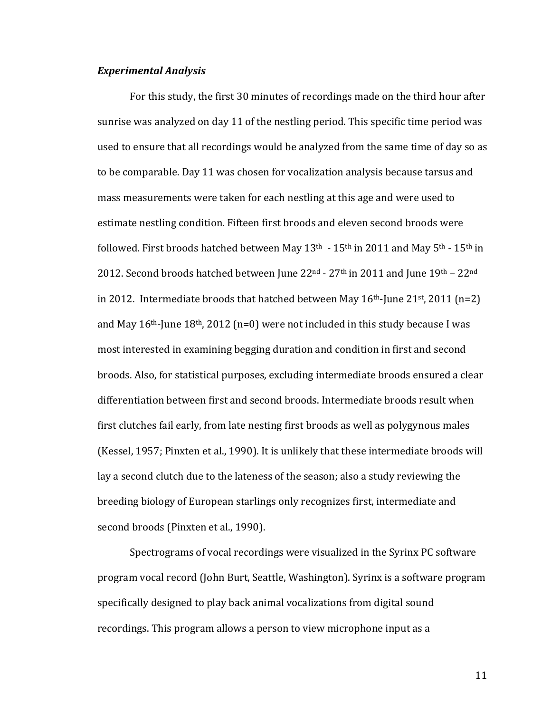#### *Experimental Analysis*

For this study, the first 30 minutes of recordings made on the third hour after sunrise was analyzed on day 11 of the nestling period. This specific time period was used to ensure that all recordings would be analyzed from the same time of day so as to be comparable. Day 11 was chosen for vocalization analysis because tarsus and mass measurements were taken for each nestling at this age and were used to estimate nestling condition. Fifteen first broods and eleven second broods were followed. First broods hatched between May  $13<sup>th</sup> - 15<sup>th</sup>$  in 2011 and May  $5<sup>th</sup> - 15<sup>th</sup>$  in 2012. Second broods hatched between June  $22^{\text{nd}}$  -  $27^{\text{th}}$  in 2011 and June  $19^{\text{th}}$  –  $22^{\text{nd}}$ in 2012. Intermediate broods that hatched between May  $16<sup>th</sup>$ -June  $21<sup>st</sup>$ , 2011 (n=2) and May  $16<sup>th</sup>$ -June  $18<sup>th</sup>$ , 2012 (n=0) were not included in this study because I was most interested in examining begging duration and condition in first and second broods. Also, for statistical purposes, excluding intermediate broods ensured a clear differentiation between first and second broods. Intermediate broods result when first clutches fail early, from late nesting first broods as well as polygynous males (Kessel, 1957; Pinxten et al., 1990). It is unlikely that these intermediate broods will lay a second clutch due to the lateness of the season; also a study reviewing the breeding biology of European starlings only recognizes first, intermediate and second broods (Pinxten et al., 1990).

Spectrograms of vocal recordings were visualized in the Syrinx PC software program vocal record (John Burt, Seattle, Washington). Syrinx is a software program specifically designed to play back animal vocalizations from digital sound recordings. This program allows a person to view microphone input as a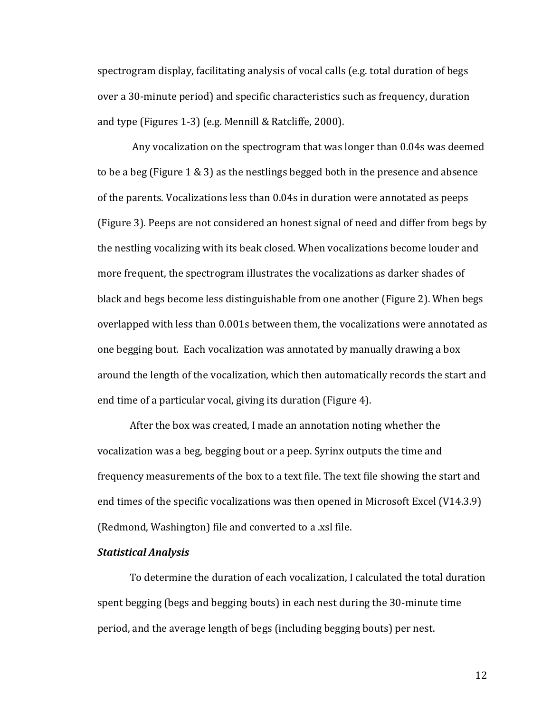spectrogram display, facilitating analysis of vocal calls  $(e.g. \text{ total duration of }\text{begs})$ over a 30-minute period) and specific characteristics such as frequency, duration and type (Figures 1-3) (e.g. Mennill & Ratcliffe, 2000).

Any vocalization on the spectrogram that was longer than 0.04s was deemed to be a beg (Figure  $1 \& 3$ ) as the nestlings begged both in the presence and absence of the parents. Vocalizations less than 0.04s in duration were annotated as peeps (Figure 3). Peeps are not considered an honest signal of need and differ from begs by the nestling vocalizing with its beak closed. When vocalizations become louder and more frequent, the spectrogram illustrates the vocalizations as darker shades of black and begs become less distinguishable from one another (Figure 2). When begs overlapped with less than 0.001s between them, the vocalizations were annotated as one begging bout. Each vocalization was annotated by manually drawing a box around the length of the vocalization, which then automatically records the start and end time of a particular vocal, giving its duration (Figure 4).

After the box was created, I made an annotation noting whether the vocalization was a beg, begging bout or a peep. Syrinx outputs the time and frequency measurements of the box to a text file. The text file showing the start and end times of the specific vocalizations was then opened in Microsoft Excel (V14.3.9) (Redmond, Washington) file and converted to a .xsl file.

#### *Statistical Analysis*

To determine the duration of each vocalization, I calculated the total duration spent begging (begs and begging bouts) in each nest during the 30-minute time period, and the average length of begs (including begging bouts) per nest.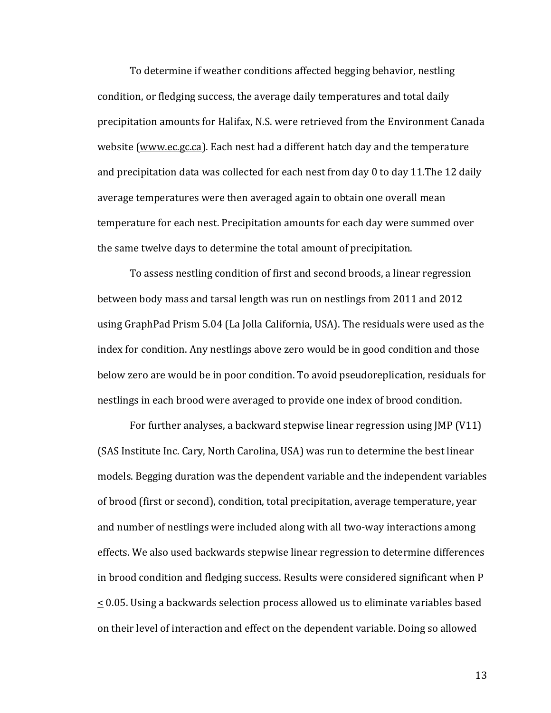To determine if weather conditions affected begging behavior, nestling condition, or fledging success, the average daily temperatures and total daily precipitation amounts for Halifax, N.S. were retrieved from the Environment Canada website (www.ec.gc.ca). Each nest had a different hatch day and the temperature and precipitation data was collected for each nest from day 0 to day 11. The 12 daily average temperatures were then averaged again to obtain one overall mean temperature for each nest. Precipitation amounts for each day were summed over the same twelve days to determine the total amount of precipitation.

To assess nestling condition of first and second broods, a linear regression between body mass and tarsal length was run on nestlings from 2011 and 2012 using GraphPad Prism 5.04 (La Jolla California, USA). The residuals were used as the index for condition. Any nestlings above zero would be in good condition and those below zero are would be in poor condition. To avoid pseudoreplication, residuals for nestlings in each brood were averaged to provide one index of brood condition.

For further analyses, a backward stepwise linear regression using JMP (V11) (SAS Institute Inc. Cary, North Carolina, USA) was run to determine the best linear models. Begging duration was the dependent variable and the independent variables of brood (first or second), condition, total precipitation, average temperature, year and number of nestlings were included along with all two-way interactions among effects. We also used backwards stepwise linear regression to determine differences in brood condition and fledging success. Results were considered significant when P  $\leq$  0.05. Using a backwards selection process allowed us to eliminate variables based on their level of interaction and effect on the dependent variable. Doing so allowed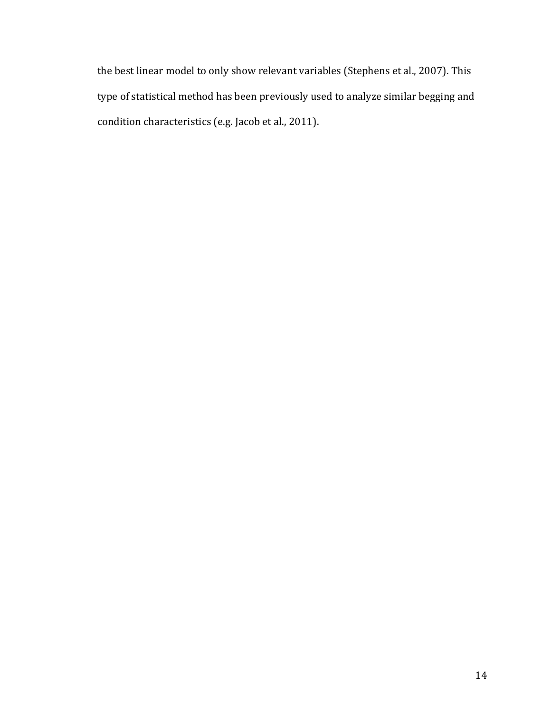the best linear model to only show relevant variables (Stephens et al., 2007). This type of statistical method has been previously used to analyze similar begging and condition characteristics (e.g. Jacob et al., 2011).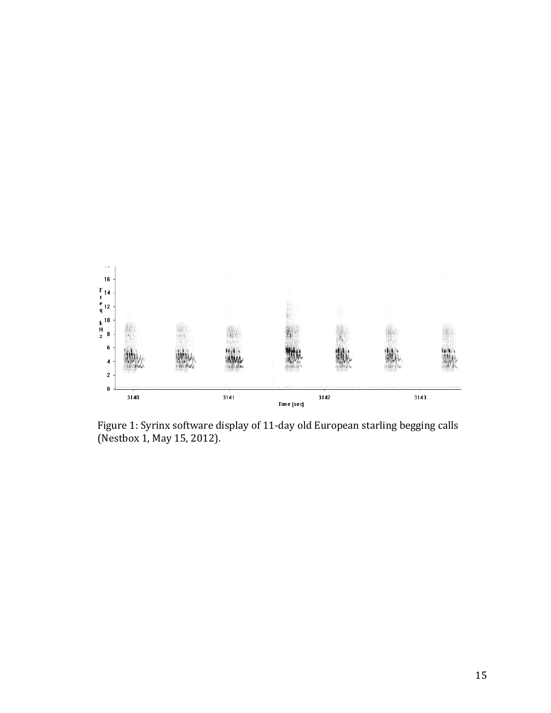

Figure 1: Syrinx software display of 11-day old European starling begging calls (Nestbox 1, May 15, 2012).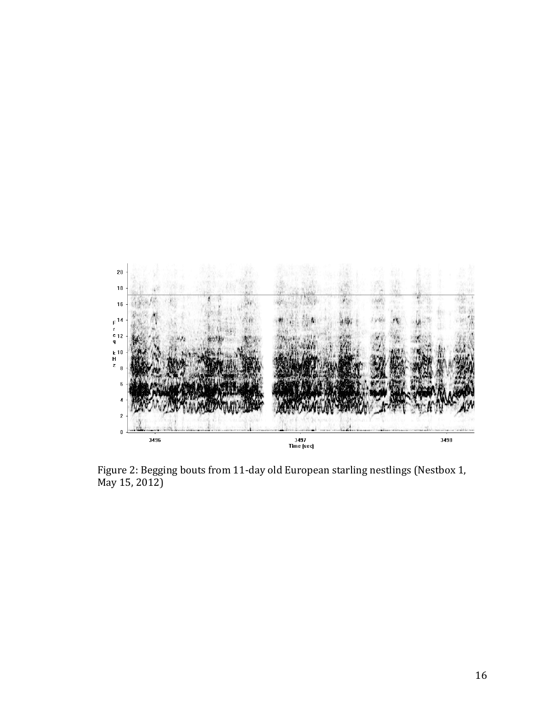

Figure 2: Begging bouts from 11-day old European starling nestlings (Nestbox 1,  $\overline{May\ 15, 2012)}$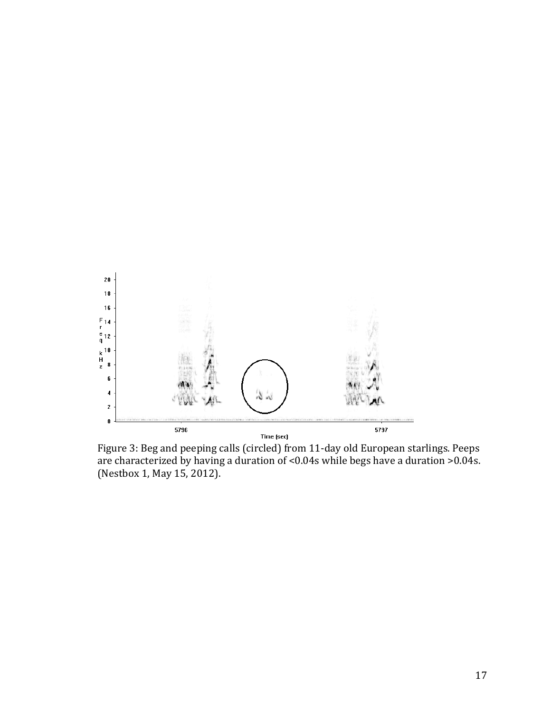

Figure 3: Beg and peeping calls (circled) from 11-day old European starlings. Peeps are characterized by having a duration of <0.04s while begs have a duration >0.04s. (Nestbox 1, May 15, 2012).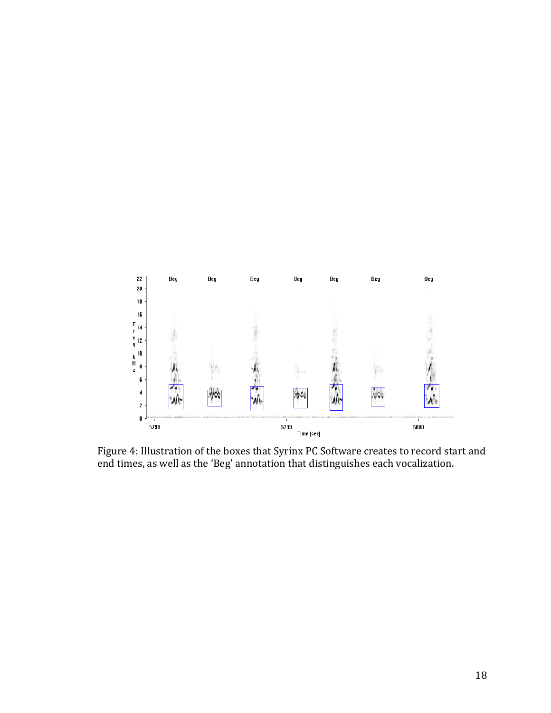

Figure 4: Illustration of the boxes that Syrinx PC Software creates to record start and end times, as well as the 'Beg' annotation that distinguishes each vocalization.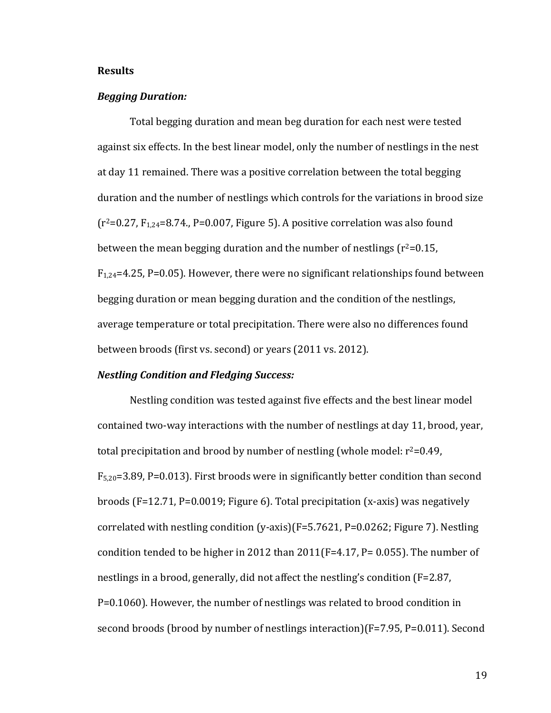## **Results**

## *Begging Duration:*

Total begging duration and mean beg duration for each nest were tested against six effects. In the best linear model, only the number of nestlings in the nest at day 11 remained. There was a positive correlation between the total begging duration and the number of nestlings which controls for the variations in brood size  $(r^2=0.27, F_{1,24}=8.74, P=0.007,$  Figure 5). A positive correlation was also found between the mean begging duration and the number of nestlings  $(r^2=0.15, r^2)$  $F_{1,24}=4.25$ , P=0.05). However, there were no significant relationships found between begging duration or mean begging duration and the condition of the nestlings, average temperature or total precipitation. There were also no differences found between broods (first vs. second) or years (2011 vs. 2012).

#### **Nestling Condition and Fledging Success:**

Nestling condition was tested against five effects and the best linear model contained two-way interactions with the number of nestlings at day 11, brood, year, total precipitation and brood by number of nestling (whole model:  $r^2=0.49$ ,  $F_{5,20}=3.89$ , P=0.013). First broods were in significantly better condition than second broods  $(F=12.71, P=0.0019;$  Figure 6). Total precipitation  $(x-axis)$  was negatively correlated with nestling condition  $(y-axis)(F=5.7621, P=0.0262;$  Figure 7). Nestling condition tended to be higher in 2012 than  $2011(F=4.17, P= 0.055)$ . The number of nestlings in a brood, generally, did not affect the nestling's condition  $(F=2.87)$ , P=0.1060). However, the number of nestlings was related to brood condition in second broods (brood by number of nestlings interaction)( $F=7.95$ ,  $P=0.011$ ). Second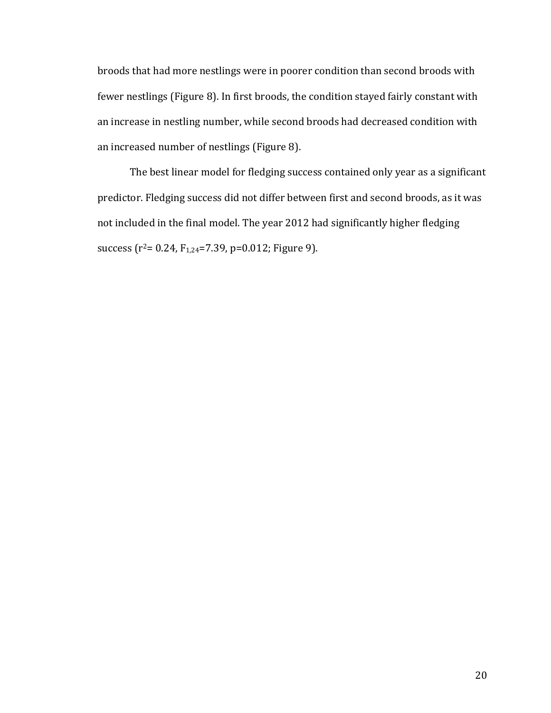broods that had more nestlings were in poorer condition than second broods with fewer nestlings (Figure 8). In first broods, the condition stayed fairly constant with an increase in nestling number, while second broods had decreased condition with an increased number of nestlings (Figure 8).

The best linear model for fledging success contained only year as a significant predictor. Fledging success did not differ between first and second broods, as it was not included in the final model. The year 2012 had significantly higher fledging success  $(r^2= 0.24, F_{1,24}=7.39, p=0.012;$  Figure 9).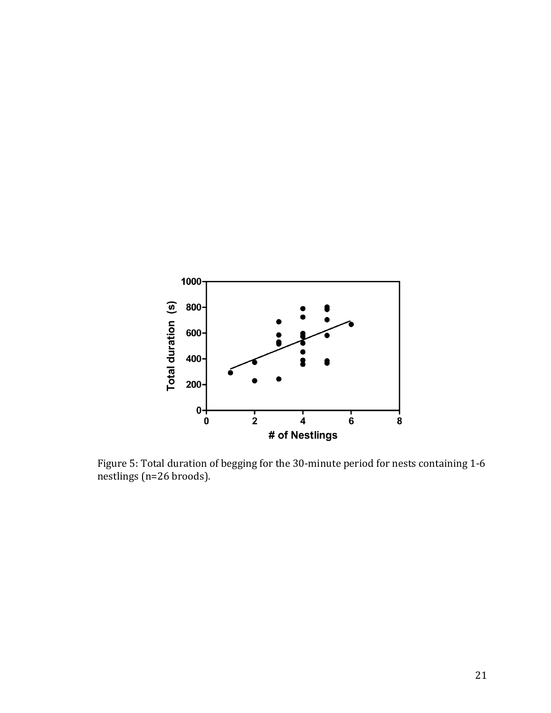

Figure 5: Total duration of begging for the 30-minute period for nests containing 1-6 nestlings (n=26 broods).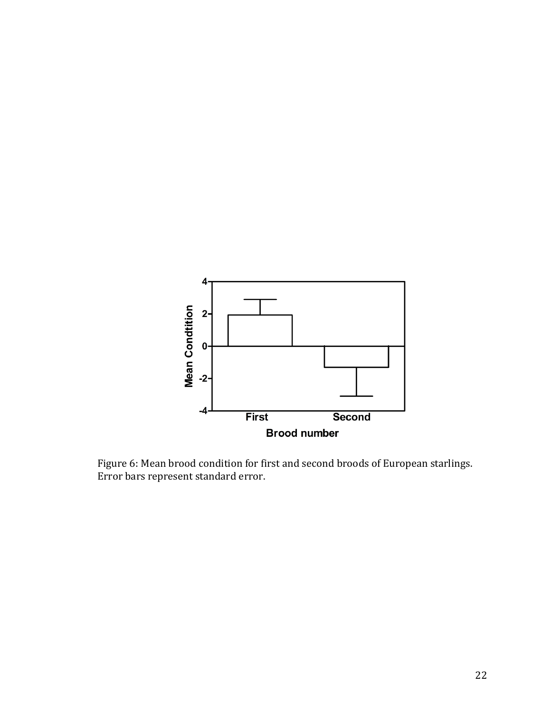

Figure 6: Mean brood condition for first and second broods of European starlings. Error bars represent standard error.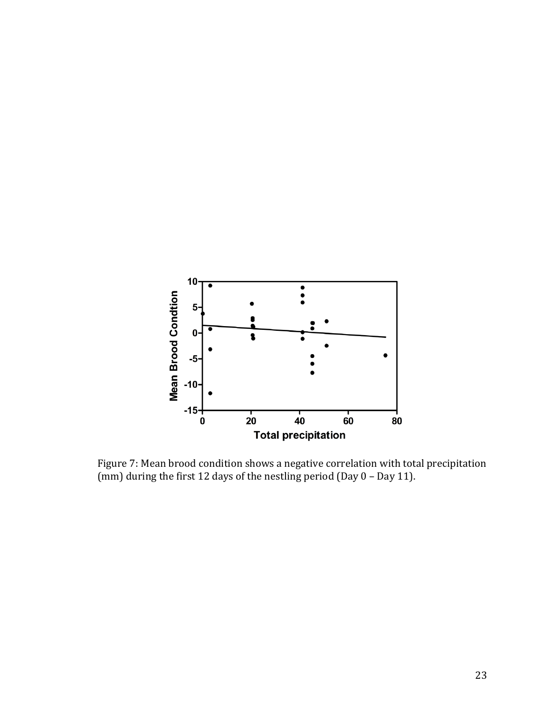

Figure 7: Mean brood condition shows a negative correlation with total precipitation (mm) during the first 12 days of the nestling period (Day – Day 11).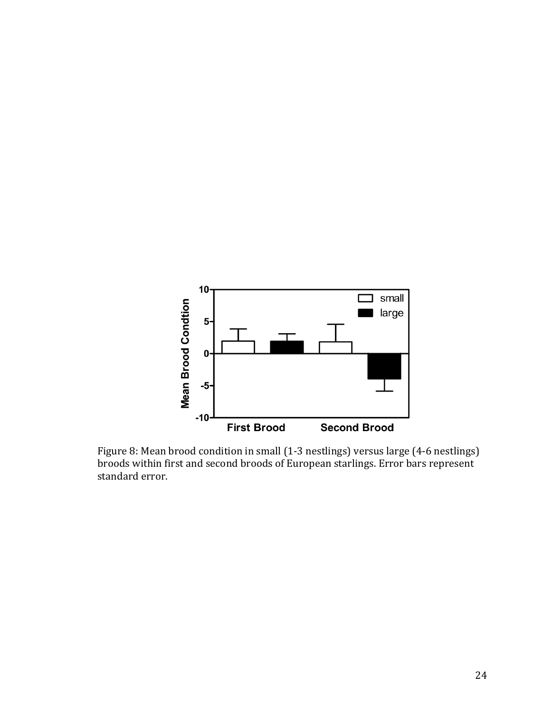

Figure 8: Mean brood condition in small (1-3 nestlings) versus large (4-6 nestlings) broods within first and second broods of European starlings. Error bars represent standard error.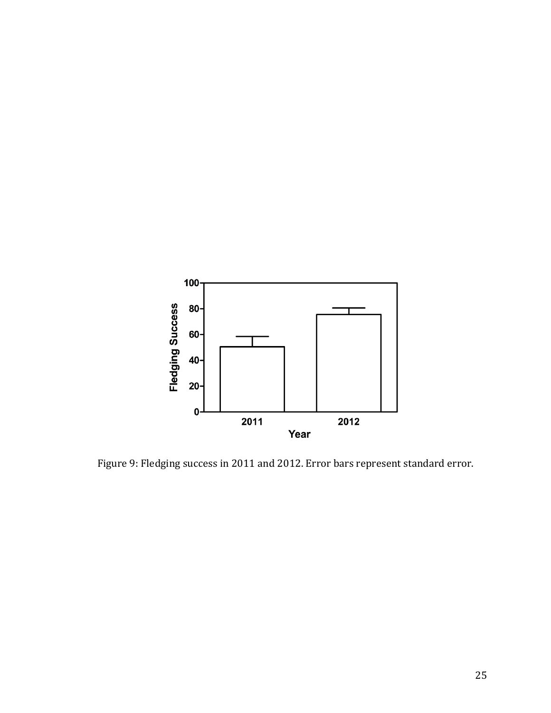

Figure 9: Fledging success in 2011 and 2012. Error bars represent standard error.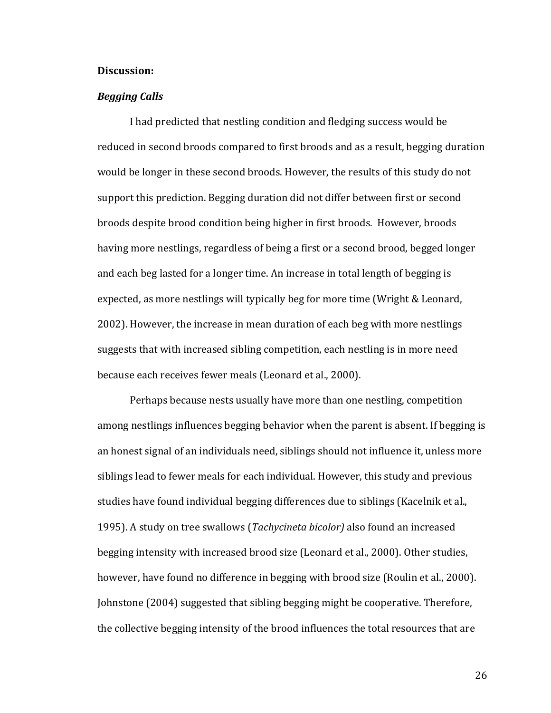## **Discussion:**

## *Begging Calls*

I had predicted that nestling condition and fledging success would be reduced in second broods compared to first broods and as a result, begging duration would be longer in these second broods. However, the results of this study do not support this prediction. Begging duration did not differ between first or second broods despite brood condition being higher in first broods. However, broods having more nestlings, regardless of being a first or a second brood, begged longer and each beg lasted for a longer time. An increase in total length of begging is expected, as more nestlings will typically beg for more time (Wright & Leonard, 2002). However, the increase in mean duration of each beg with more nestlings suggests that with increased sibling competition, each nestling is in more need because each receives fewer meals (Leonard et al., 2000).

Perhaps because nests usually have more than one nestling, competition among nestlings influences begging behavior when the parent is absent. If begging is an honest signal of an individuals need, siblings should not influence it, unless more siblings lead to fewer meals for each individual. However, this study and previous studies have found individual begging differences due to siblings (Kacelnik et al., 1995). A study on tree swallows (*Tachycineta bicolor*) also found an increased begging intensity with increased brood size (Leonard et al., 2000). Other studies, however, have found no difference in begging with brood size (Roulin et al., 2000). Johnstone (2004) suggested that sibling begging might be cooperative. Therefore, the collective begging intensity of the brood influences the total resources that are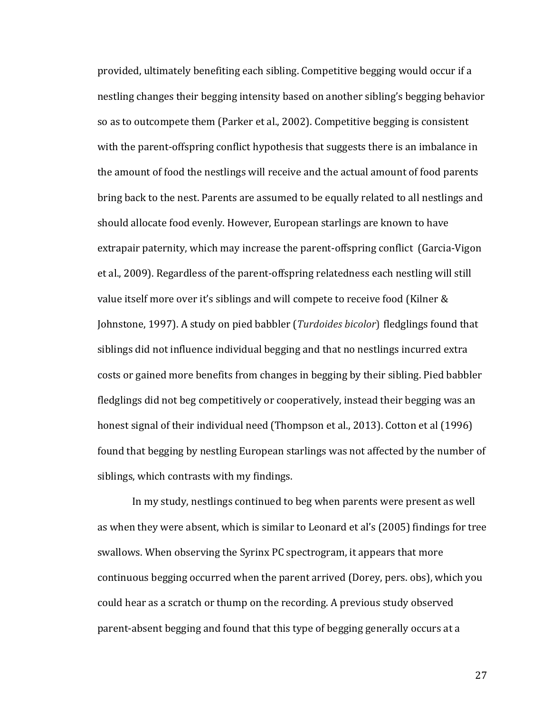provided, ultimately benefiting each sibling. Competitive begging would occur if a nestling changes their begging intensity based on another sibling's begging behavior so as to outcompete them (Parker et al., 2002). Competitive begging is consistent with the parent-offspring conflict hypothesis that suggests there is an imbalance in the amount of food the nestlings will receive and the actual amount of food parents bring back to the nest. Parents are assumed to be equally related to all nestlings and should allocate food evenly. However, European starlings are known to have extrapair paternity, which may increase the parent-offspring conflict (Garcia-Vigon et al., 2009). Regardless of the parent-offspring relatedness each nestling will still value itself more over it's siblings and will compete to receive food (Kilner  $&$ Johnstone, 1997). A study on pied babbler (*Turdoides bicolor*) fledglings found that siblings did not influence individual begging and that no nestlings incurred extra costs or gained more benefits from changes in begging by their sibling. Pied babbler fledglings did not beg competitively or cooperatively, instead their begging was an honest signal of their individual need (Thompson et al., 2013). Cotton et al (1996) found that begging by nestling European starlings was not affected by the number of siblings, which contrasts with my findings.

In my study, nestlings continued to beg when parents were present as well as when they were absent, which is similar to Leonard et al's (2005) findings for tree swallows. When observing the Syrinx PC spectrogram, it appears that more continuous begging occurred when the parent arrived (Dorey, pers. obs), which you could hear as a scratch or thump on the recording. A previous study observed parent-absent begging and found that this type of begging generally occurs at a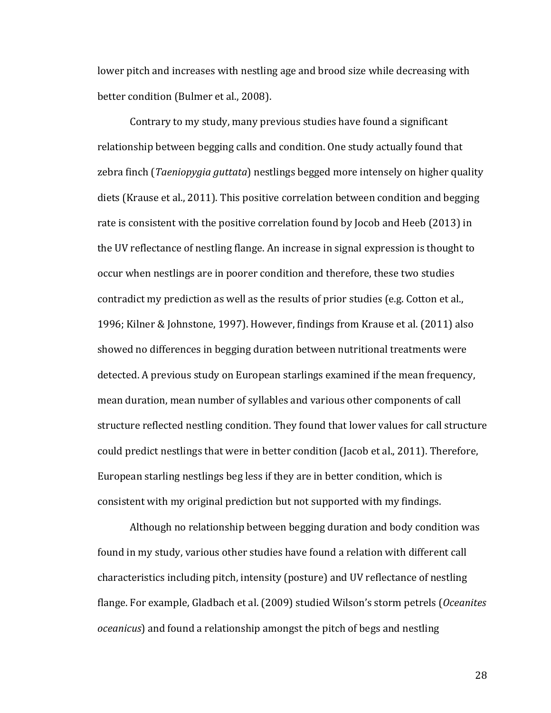lower pitch and increases with nestling age and brood size while decreasing with better condition (Bulmer et al., 2008).

Contrary to my study, many previous studies have found a significant relationship between begging calls and condition. One study actually found that zebra finch (*Taeniopygia guttata*) nestlings begged more intensely on higher quality diets (Krause et al., 2011). This positive correlation between condition and begging rate is consistent with the positive correlation found by Jocob and Heeb (2013) in the UV reflectance of nestling flange. An increase in signal expression is thought to occur when nestlings are in poorer condition and therefore, these two studies contradict my prediction as well as the results of prior studies (e.g. Cotton et al., 1996; Kilner & Johnstone, 1997). However, findings from Krause et al. (2011) also showed no differences in begging duration between nutritional treatments were detected. A previous study on European starlings examined if the mean frequency, mean duration, mean number of syllables and various other components of call structure reflected nestling condition. They found that lower values for call structure could predict nestlings that were in better condition (Jacob et al., 2011). Therefore, European starling nestlings beg less if they are in better condition, which is consistent with my original prediction but not supported with my findings.

Although no relationship between begging duration and body condition was found in my study, various other studies have found a relation with different call characteristics including pitch, intensity (posture) and UV reflectance of nestling flange. For example, Gladbach et al. (2009) studied Wilson's storm petrels (Oceanites *oceanicus*) and found a relationship amongst the pitch of begs and nestling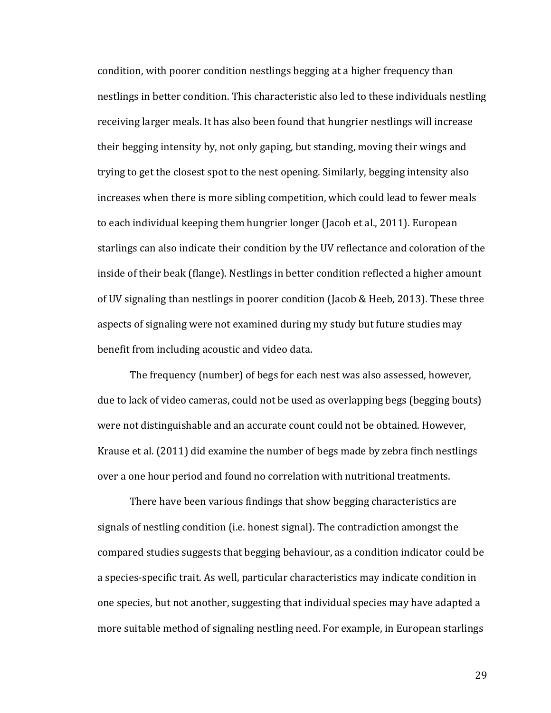condition, with poorer condition nestlings begging at a higher frequency than nestlings in better condition. This characteristic also led to these individuals nestling receiving larger meals. It has also been found that hungrier nestlings will increase their begging intensity by, not only gaping, but standing, moving their wings and trying to get the closest spot to the nest opening. Similarly, begging intensity also increases when there is more sibling competition, which could lead to fewer meals to each individual keeping them hungrier longer (Jacob et al., 2011). European starlings can also indicate their condition by the UV reflectance and coloration of the inside of their beak (flange). Nestlings in better condition reflected a higher amount of UV signaling than nestlings in poorer condition (Jacob & Heeb, 2013). These three aspects of signaling were not examined during my study but future studies may benefit from including acoustic and video data.

The frequency (number) of begs for each nest was also assessed, however, due to lack of video cameras, could not be used as overlapping begs (begging bouts) were not distinguishable and an accurate count could not be obtained. However, Krause et al. (2011) did examine the number of begs made by zebra finch nestlings over a one hour period and found no correlation with nutritional treatments.

There have been various findings that show begging characteristics are signals of nestling condition (i.e. honest signal). The contradiction amongst the compared studies suggests that begging behaviour, as a condition indicator could be a species-specific trait. As well, particular characteristics may indicate condition in one species, but not another, suggesting that individual species may have adapted a more suitable method of signaling nestling need. For example, in European starlings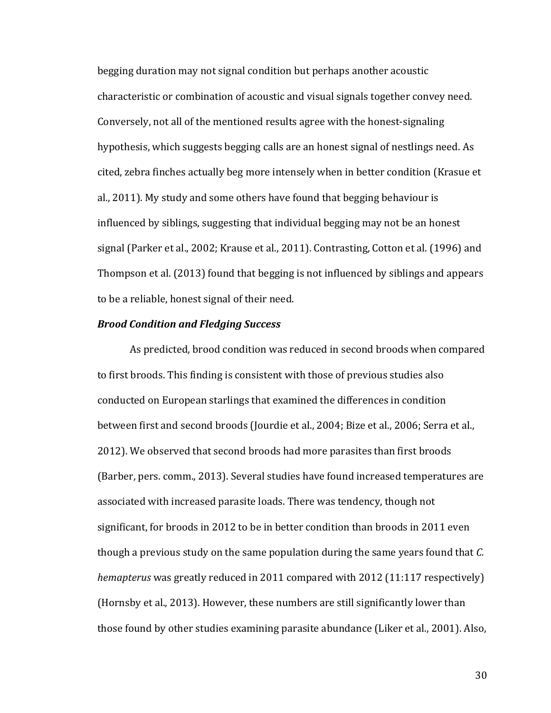begging duration may not signal condition but perhaps another acoustic characteristic or combination of acoustic and visual signals together convey need. Conversely, not all of the mentioned results agree with the honest-signaling hypothesis, which suggests begging calls are an honest signal of nestlings need. As cited, zebra finches actually beg more intensely when in better condition (Krasue et al.,  $2011$ ). My study and some others have found that begging behaviour is influenced by siblings, suggesting that individual begging may not be an honest signal (Parker et al., 2002; Krause et al., 2011). Contrasting, Cotton et al. (1996) and Thompson et al. (2013) found that begging is not influenced by siblings and appears to be a reliable, honest signal of their need.

# *Brood Condition and Fledging Success*

As predicted, brood condition was reduced in second broods when compared to first broods. This finding is consistent with those of previous studies also conducted on European starlings that examined the differences in condition between first and second broods (Jourdie et al., 2004; Bize et al., 2006; Serra et al., 2012). We observed that second broods had more parasites than first broods (Barber, pers. comm., 2013). Several studies have found increased temperatures are associated with increased parasite loads. There was tendency, though not significant, for broods in 2012 to be in better condition than broods in 2011 even though a previous study on the same population during the same years found that *C*. *hemapterus* was greatly reduced in 2011 compared with 2012 (11:117 respectively) (Hornsby et al., 2013). However, these numbers are still significantly lower than those found by other studies examining parasite abundance (Liker et al., 2001). Also,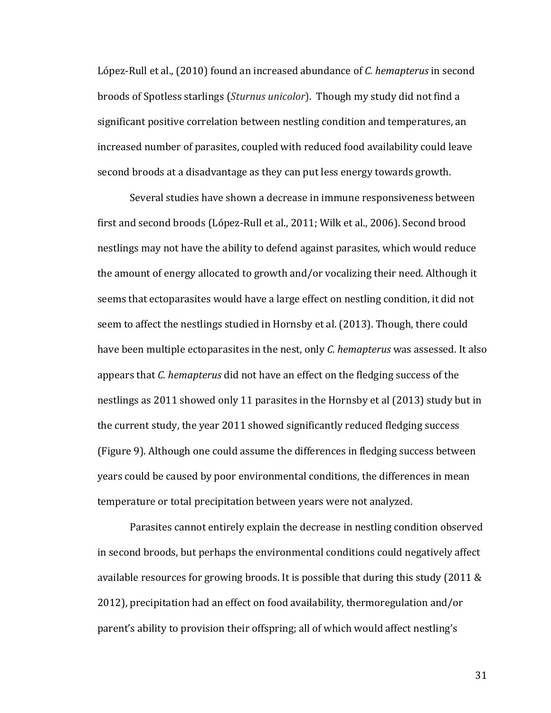López-Rull et al., (2010) found an increased abundance of *C. hemapterus* in second broods of Spotless starlings (*Sturnus unicolor*). Though my study did not find a significant positive correlation between nestling condition and temperatures, an increased number of parasites, coupled with reduced food availability could leave second broods at a disadvantage as they can put less energy towards growth.

Several studies have shown a decrease in immune responsiveness between first and second broods (López-Rull et al., 2011; Wilk et al., 2006). Second brood nestlings may not have the ability to defend against parasites, which would reduce the amount of energy allocated to growth and/or vocalizing their need. Although it seems that ectoparasites would have a large effect on nestling condition, it did not seem to affect the nestlings studied in Hornsby et al. (2013). Though, there could have been multiple ectoparasites in the nest, only *C. hemapterus* was assessed. It also appears that *C.* hemapterus did not have an effect on the fledging success of the nestlings as 2011 showed only 11 parasites in the Hornsby et al (2013) study but in the current study, the year 2011 showed significantly reduced fledging success (Figure 9). Although one could assume the differences in fledging success between years could be caused by poor environmental conditions, the differences in mean temperature or total precipitation between years were not analyzed.

Parasites cannot entirely explain the decrease in nestling condition observed in second broods, but perhaps the environmental conditions could negatively affect available resources for growing broods. It is possible that during this study (2011  $\&$ 2012), precipitation had an effect on food availability, thermoregulation and/or parent's ability to provision their offspring; all of which would affect nestling's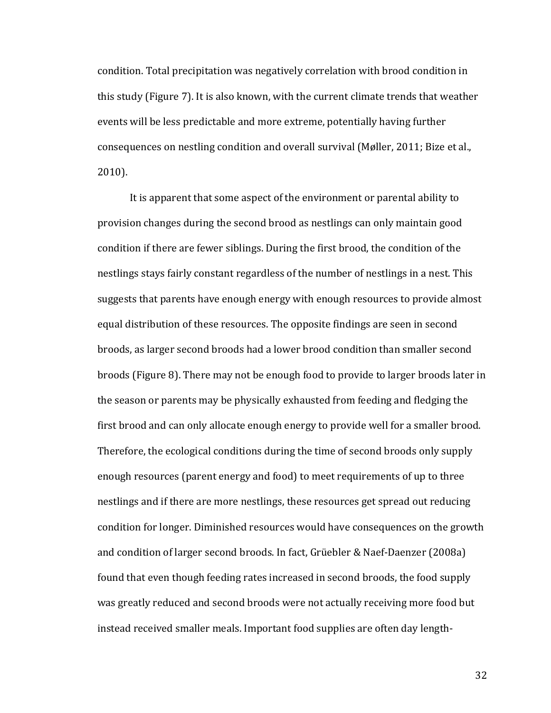condition. Total precipitation was negatively correlation with brood condition in this study (Figure 7). It is also known, with the current climate trends that weather events will be less predictable and more extreme, potentially having further consequences on nestling condition and overall survival (Møller, 2011; Bize et al., 2010).

It is apparent that some aspect of the environment or parental ability to provision changes during the second brood as nestlings can only maintain good condition if there are fewer siblings. During the first brood, the condition of the nestlings stays fairly constant regardless of the number of nestlings in a nest. This suggests that parents have enough energy with enough resources to provide almost equal distribution of these resources. The opposite findings are seen in second broods, as larger second broods had a lower brood condition than smaller second broods (Figure 8). There may not be enough food to provide to larger broods later in the season or parents may be physically exhausted from feeding and fledging the first brood and can only allocate enough energy to provide well for a smaller brood. Therefore, the ecological conditions during the time of second broods only supply enough resources (parent energy and food) to meet requirements of up to three nestlings and if there are more nestlings, these resources get spread out reducing condition for longer. Diminished resources would have consequences on the growth and condition of larger second broods. In fact, Grüebler & Naef-Daenzer (2008a) found that even though feeding rates increased in second broods, the food supply was greatly reduced and second broods were not actually receiving more food but instead received smaller meals. Important food supplies are often day length-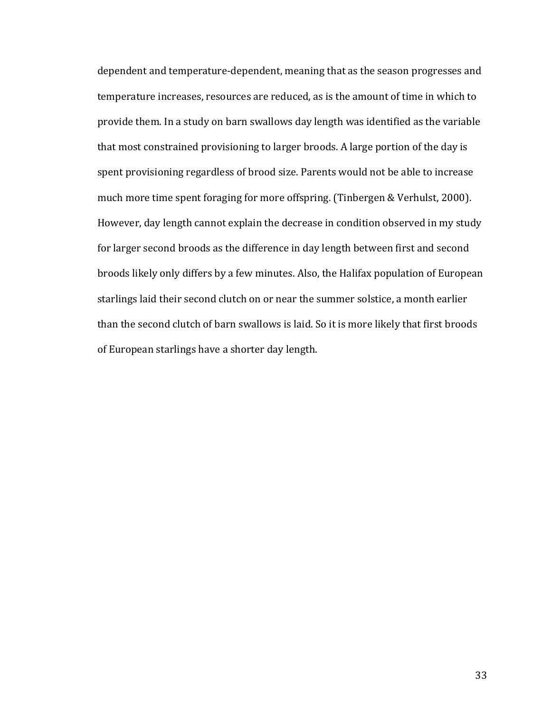dependent and temperature-dependent, meaning that as the season progresses and temperature increases, resources are reduced, as is the amount of time in which to provide them. In a study on barn swallows day length was identified as the variable that most constrained provisioning to larger broods. A large portion of the day is spent provisioning regardless of brood size. Parents would not be able to increase much more time spent foraging for more offspring. (Tinbergen & Verhulst, 2000). However, day length cannot explain the decrease in condition observed in my study for larger second broods as the difference in day length between first and second broods likely only differs by a few minutes. Also, the Halifax population of European starlings laid their second clutch on or near the summer solstice, a month earlier than the second clutch of barn swallows is laid. So it is more likely that first broods of European starlings have a shorter day length.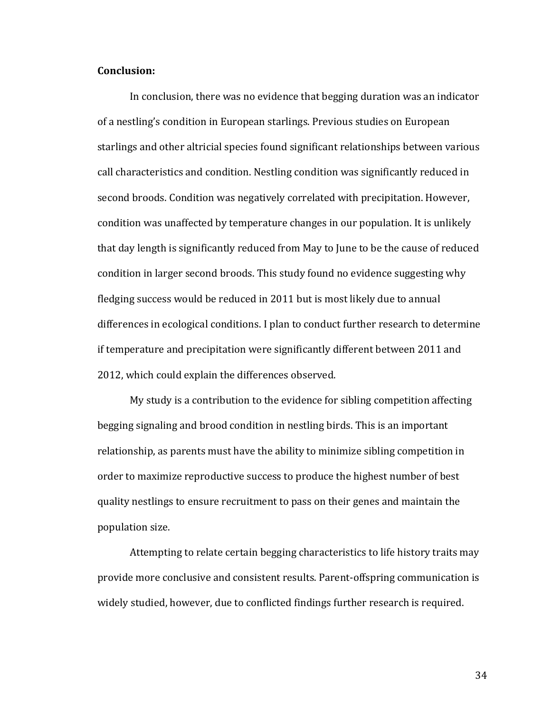## **Conclusion:**

In conclusion, there was no evidence that begging duration was an indicator of a nestling's condition in European starlings. Previous studies on European starlings and other altricial species found significant relationships between various call characteristics and condition. Nestling condition was significantly reduced in second broods. Condition was negatively correlated with precipitation. However, condition was unaffected by temperature changes in our population. It is unlikely that day length is significantly reduced from May to June to be the cause of reduced condition in larger second broods. This study found no evidence suggesting why fledging success would be reduced in 2011 but is most likely due to annual differences in ecological conditions. I plan to conduct further research to determine if temperature and precipitation were significantly different between 2011 and 2012, which could explain the differences observed.

My study is a contribution to the evidence for sibling competition affecting begging signaling and brood condition in nestling birds. This is an important relationship, as parents must have the ability to minimize sibling competition in order to maximize reproductive success to produce the highest number of best quality nestlings to ensure recruitment to pass on their genes and maintain the population size.

Attempting to relate certain begging characteristics to life history traits may provide more conclusive and consistent results. Parent-offspring communication is widely studied, however, due to conflicted findings further research is required.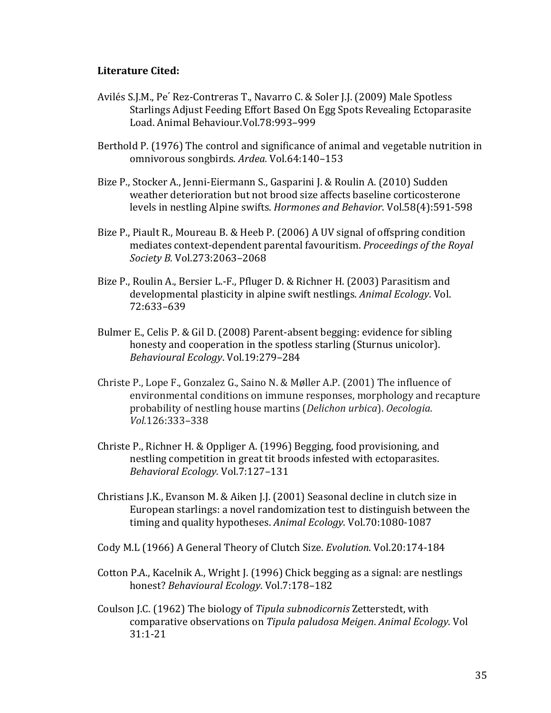# **Literature Cited:**

- Avilés S.J.M., Pe' Rez-Contreras T., Navarro C. & Soler J.J. (2009) Male Spotless Starlings Adjust Feeding Effort Based On Egg Spots Revealing Ectoparasite Load. Animal Behaviour. Vol. 78: 993-999
- Berthold P. (1976) The control and significance of animal and vegetable nutrition in omnivorous songbirds. *Ardea.* Vol.64:140–153
- Bize P., Stocker A., Jenni-Eiermann S., Gasparini J. & Roulin A. (2010) Sudden weather deterioration but not brood size affects baseline corticosterone levels in nestling Alpine swifts. *Hormones and Behavior*. Vol.58(4):591-598
- Bize P., Piault R., Moureau B. & Heeb P. (2006) A UV signal of offspring condition mediates context-dependent parental favouritism. *Proceedings of the Royal Society B.* Vol.273:2063–2068
- Bize P., Roulin A., Bersier L.-F., Pfluger D. & Richner H. (2003) Parasitism and developmental plasticity in alpine swift nestlings. Animal *Ecology*. Vol. 72:633–639
- Bulmer E., Celis P. & Gil D. (2008) Parent-absent begging: evidence for sibling honesty and cooperation in the spotless starling (Sturnus unicolor). *Behavioural Ecology*. Vol.19:279–284
- Christe P., Lope F., Gonzalez G., Saino N. & Møller A.P. (2001) The influence of environmental conditions on immune responses, morphology and recapture probability of nestling house martins (*Delichon urbica*). *Oecologia. Vol.*126:333–338
- Christe P., Richner H. & Oppliger A. (1996) Begging, food provisioning, and nestling competition in great tit broods infested with ectoparasites. *Behavioral Ecology*. Vol.7:127–131
- Christians J.K., Evanson M. & Aiken J.J.  $(2001)$  Seasonal decline in clutch size in European starlings: a novel randomization test to distinguish between the timing and quality hypotheses. Animal Ecology. Vol.70:1080-1087
- Cody M.L (1966) A General Theory of Clutch Size. *Evolution*. Vol.20:174-184
- Cotton P.A., Kacelnik A., Wright J. (1996) Chick begging as a signal: are nestlings honest? *Behavioural Ecology*. Vol.7:178–182
- Coulson J.C. (1962) The biology of *Tipula subnodicornis* Zetterstedt, with comparative observations on *Tipula paludosa Meigen*. *Animal Ecology*. Vol 31:1-21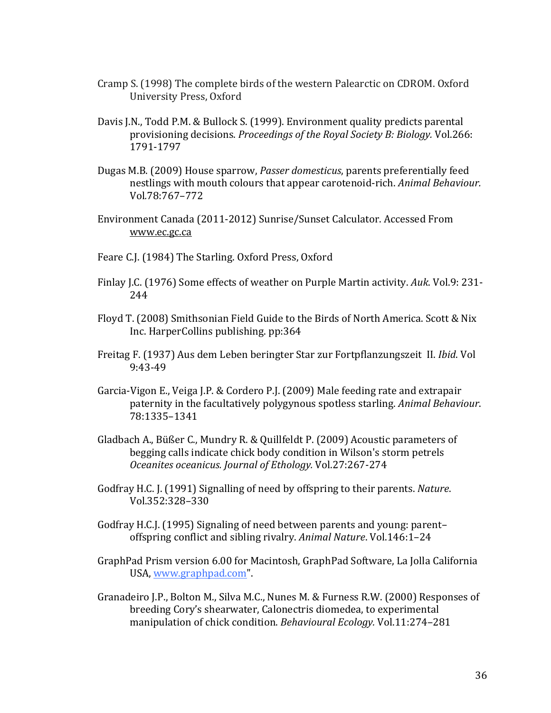- Cramp S. (1998) The complete birds of the western Palearctic on CDROM. Oxford University Press, Oxford
- Davis J.N., Todd P.M. & Bullock S. (1999). Environment quality predicts parental provisioning decisions. *Proceedings of the Royal Society B: Biology.* Vol.266: 1791-1797
- Dugas M.B. (2009) House sparrow, *Passer domesticus*, parents preferentially feed nestlings with mouth colours that appear carotenoid-rich. *Animal Behaviour.* Vol*.*78:767–772
- Environment Canada (2011-2012) Sunrise/Sunset Calculator. Accessed From www.ec.gc.ca
- Feare C.J. (1984) The Starling. Oxford Press, Oxford
- Finlay J.C. (1976) Some effects of weather on Purple Martin activity. Auk. Vol.9: 231-244
- Floyd T. (2008) Smithsonian Field Guide to the Birds of North America. Scott & Nix Inc. HarperCollins publishing. pp:364
- Freitag F. (1937) Aus dem Leben beringter Star zur Fortpflanzungszeit II. *Ibid*. Vol 9:43-49
- Garcia-Vigon E., Veiga J.P. & Cordero P.J. (2009) Male feeding rate and extrapair paternity in the facultatively polygynous spotless starling. *Animal Behaviour*. 78:1335–1341
- Gladbach A., Büßer C., Mundry R. & Quillfeldt P. (2009) Acoustic parameters of begging calls indicate chick body condition in Wilson's storm petrels *Oceanites oceanicus. Journal of Ethology.* Vol.27:267-274
- Godfray H.C. J. (1991) Signalling of need by offspring to their parents. *Nature*. Vol.352:328–330
- Godfray H.C.J. (1995) Signaling of need between parents and young: parent– offspring conflict and sibling rivalry. *Animal Nature*. Vol.146:1-24
- GraphPad Prism version 6.00 for Macintosh, GraphPad Software, La Jolla California USA, www.graphpad.com".
- Granadeiro J.P., Bolton M., Silva M.C., Nunes M. & Furness R.W. (2000) Responses of breeding Cory's shearwater, Calonectris diomedea, to experimental manipulation of chick condition. *Behavioural Ecology*. Vol.11:274–281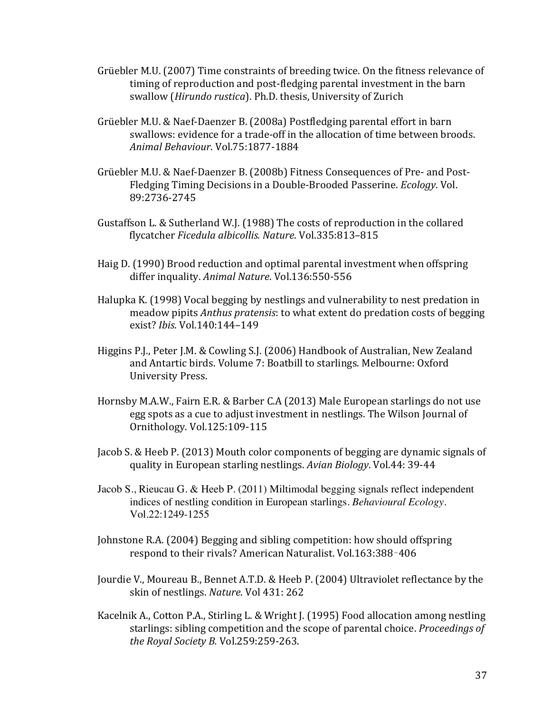- Grüebler M.U. (2007) Time constraints of breeding twice. On the fitness relevance of timing of reproduction and post-fledging parental investment in the barn swallow (*Hirundo rustica*). Ph.D. thesis, University of Zurich
- Grüebler M.U. & Naef-Daenzer B. (2008a) Postfledging parental effort in barn swallows: evidence for a trade-off in the allocation of time between broods. *Animal Behaviour*. Vol.75:1877-1884
- Grüebler M.U. & Naef-Daenzer B. (2008b) Fitness Consequences of Pre- and Post-Fledging Timing Decisions in a Double-Brooded Passerine. *Ecology*. Vol. 89:2736-2745
- Gustaffson L. & Sutherland W.J. (1988) The costs of reproduction in the collared flycatcher *Ficedula albicollis. Nature*. Vol.335:813–815
- Haig D. (1990) Brood reduction and optimal parental investment when offspring differ inquality. Animal Nature. Vol.136:550-556
- Halupka K. (1998) Vocal begging by nestlings and vulnerability to nest predation in meadow pipits *Anthus pratensis*: to what extent do predation costs of begging exist? *Ibis*. Vol.140:144–149
- Higgins P.J., Peter J.M. & Cowling S.J. (2006) Handbook of Australian, New Zealand and Antartic birds. Volume 7: Boatbill to starlings. Melbourne: Oxford University Press.
- Hornsby M.A.W., Fairn E.R. & Barber C.A (2013) Male European starlings do not use egg spots as a cue to adjust investment in nestlings. The Wilson Journal of Ornithology. Vol.125:109-115
- Jacob S. & Heeb P. (2013) Mouth color components of begging are dynamic signals of quality in European starling nestlings. Avian Biology. Vol.44: 39-44
- Jacob S., Rieucau G. & Heeb P. (2011) Miltimodal begging signals reflect independent indices of nestling condition in European starlings. *Behavioural Ecology.*  Vol.22:1249-1255
- Johnstone R.A. (2004) Begging and sibling competition: how should offspring respond to their rivals? American Naturalist. Vol.163:388-406
- Jourdie V., Moureau B., Bennet A.T.D. & Heeb P. (2004) Ultraviolet reflectance by the skin of nestlings. *Nature*. Vol 431: 262
- Kacelnik A., Cotton P.A., Stirling L. & Wright J. (1995) Food allocation among nestling starlings: sibling competition and the scope of parental choice. *Proceedings of the Royal Society B. Vol.259:259-263.*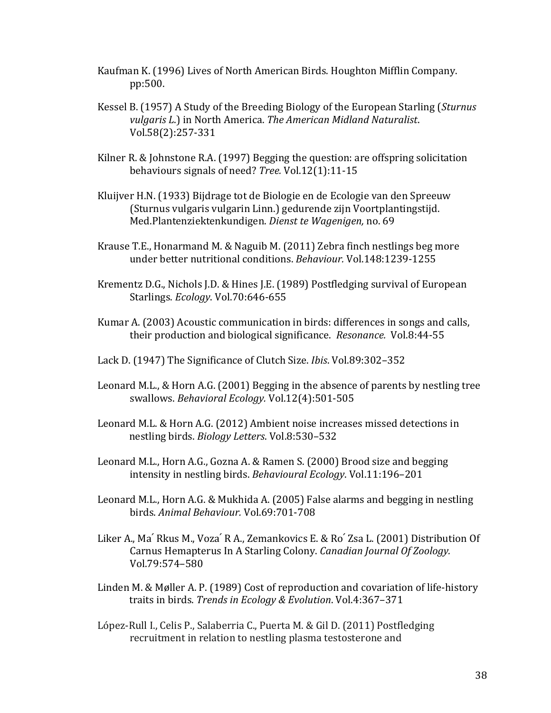- Kaufman K. (1996) Lives of North American Birds. Houghton Mifflin Company. pp:500.
- Kessel B. (1957) A Study of the Breeding Biology of the European Starling (*Sturnus vulgaris L.*) in North America. The American Midland Naturalist. Vol.58(2):257-331
- Kilner R. & Johnstone R.A.  $(1997)$  Begging the question: are offspring solicitation behaviours signals of need? *Tree.* Vol.12(1):11-15
- Kluijver H.N. (1933) Bijdrage tot de Biologie en de Ecologie van den Spreeuw (Sturnus vulgaris vulgarin Linn.) gedurende zijn Voortplantingstijd. Med.Plantenziektenkundigen. *Dienst te Wagenigen,* no. 69
- Krause T.E., Honarmand M. & Naguib M.  $(2011)$  Zebra finch nestlings beg more under better nutritional conditions. *Behaviour.* Vol.148:1239-1255
- Krementz D.G., Nichols J.D. & Hines J.E. (1989) Postfledging survival of European Starlings. *Ecology*. Vol.70:646-655
- Kumar A. (2003) Acoustic communication in birds: differences in songs and calls, their production and biological significance. *Resonance.* Vol.8:44-55
- Lack D. (1947) The Significance of Clutch Size. *Ibis.* Vol.89:302–352
- Leonard M.L., & Horn A.G. (2001) Begging in the absence of parents by nestling tree swallows. *Behavioral Ecology.* Vol.12(4):501-505
- Leonard M.L. & Horn A.G. (2012) Ambient noise increases missed detections in nestling birds. *Biology Letters*. Vol.8:530–532
- Leonard M.L., Horn A.G., Gozna A. & Ramen S. (2000) Brood size and begging intensity in nestling birds. *Behavioural Ecology*. Vol.11:196-201
- Leonard M.L., Horn A.G. & Mukhida A. (2005) False alarms and begging in nestling birds. *Animal Behaviour.* Vol.69:701-708
- Liker A., Ma' Rkus M., Voza' R A., Zemankovics E. & Ro' Zsa L. (2001) Distribution Of Carnus Hemapterus In A Starling Colony. *Canadian Journal Of Zoology.* Vol.79:574–580
- Linden M. & Møller A. P. (1989) Cost of reproduction and covariation of life-history traits in birds. *Trends in Ecology & Evolution*. Vol.4:367-371
- López-Rull I., Celis P., Salaberria C., Puerta M. & Gil D. (2011) Postfledging recruitment in relation to nestling plasma testosterone and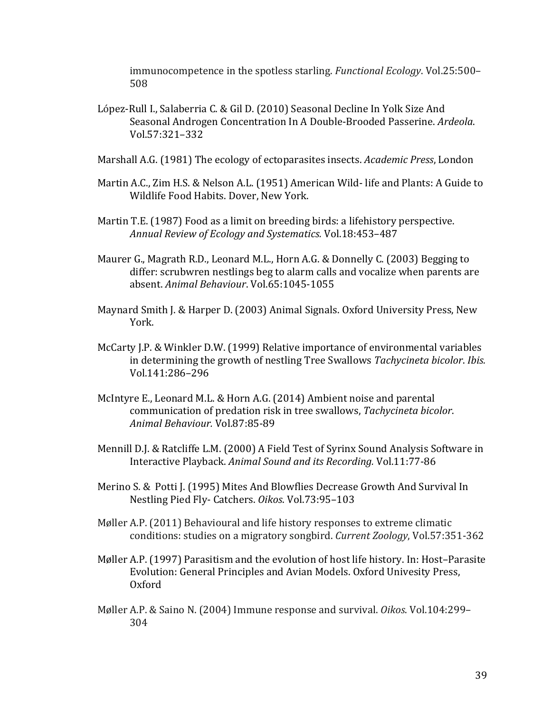immunocompetence in the spotless starling. *Functional Ecology*. Vol.25:500– 508

- López-Rull I., Salaberria C. & Gil D. (2010) Seasonal Decline In Yolk Size And Seasonal Androgen Concentration In A Double-Brooded Passerine. *Ardeola*. Vol.57:321–332
- Marshall A.G. (1981) The ecology of ectoparasites insects. *Academic Press*, London
- Martin A.C., Zim H.S. & Nelson A.L. (1951) American Wild- life and Plants: A Guide to Wildlife Food Habits. Dover, New York.
- Martin T.E. (1987) Food as a limit on breeding birds: a lifehistory perspective. *Annual Review of Ecology and Systematics.* Vol.18:453–487
- Maurer G., Magrath R.D., Leonard M.L., Horn A.G. & Donnelly C. (2003) Begging to differ: scrubwren nestlings beg to alarm calls and vocalize when parents are absent. *Animal Behaviour*. Vol.65:1045-1055
- Maynard Smith J. & Harper D. (2003) Animal Signals. Oxford University Press, New York.
- McCarty J.P. & Winkler D.W. (1999) Relative importance of environmental variables in determining the growth of nestling Tree Swallows *Tachycineta bicolor. Ibis.* Vol.141:286–296
- McIntyre E., Leonard M.L. & Horn A.G. (2014) Ambient noise and parental communication of predation risk in tree swallows, Tachycineta bicolor. *Animal Behaviour.* Vol.87:85-89
- Mennill D.J. & Ratcliffe L.M. (2000) A Field Test of Syrinx Sound Analysis Software in Interactive Playback. Animal Sound and its Recording. Vol.11:77-86
- Merino S. & Potti J. (1995) Mites And Blowflies Decrease Growth And Survival In Nestling Pied Fly- Catchers. *Oikos*. Vol.73:95–103
- Møller A.P. (2011) Behavioural and life history responses to extreme climatic conditions: studies on a migratory songbird. *Current Zoology*, Vol.57:351-362
- Møller A.P. (1997) Parasitism and the evolution of host life history. In: Host-Parasite Evolution: General Principles and Avian Models. Oxford Univesity Press, Oxford
- Møller A.P. & Saino N. (2004) Immune response and survival. *Oikos*. Vol.104:299-304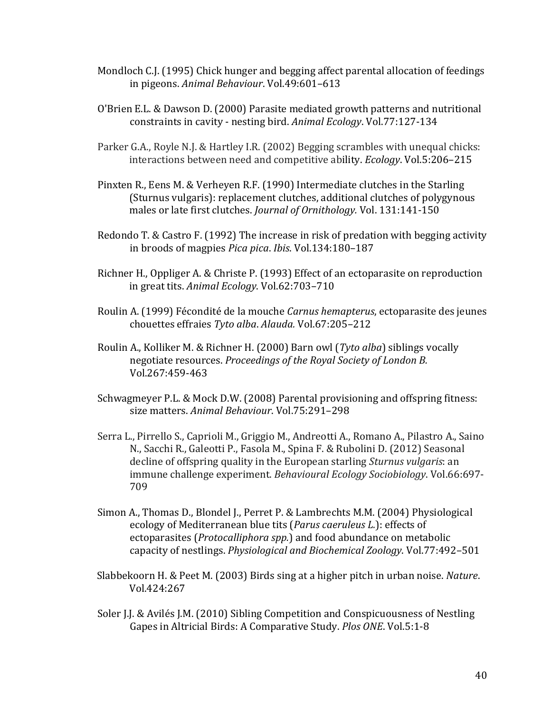- Mondloch C.J. (1995) Chick hunger and begging affect parental allocation of feedings in pigeons. *Animal Behaviour*. Vol.49:601-613
- O'Brien E.L. & Dawson D. (2000) Parasite mediated growth patterns and nutritional constraints in cavity - nesting bird. Animal Ecology. Vol.77:127-134
- Parker G.A., Royle N.J. & Hartley I.R. (2002) Begging scrambles with unequal chicks: interactions between need and competitive ability. *Ecology*. Vol.5:206-215
- Pinxten R., Eens M. & Verheyen R.F. (1990) Intermediate clutches in the Starling (Sturnus vulgaris): replacement clutches, additional clutches of polygynous males or late first clutches. *Journal of Ornithology*. Vol. 131:141-150
- Redondo T. & Castro F. (1992) The increase in risk of predation with begging activity in broods of magpies *Pica pica. Ibis.* Vol.134:180-187
- Richner H., Oppliger A. & Christe P. (1993) Effect of an ectoparasite on reproduction in great tits. Animal Ecology. Vol.62:703-710
- Roulin A. (1999) Fécondité de la mouche *Carnus hemapterus*, ectoparasite des jeunes chouettes effraies *Tyto alba*. *Alauda.* Vol.67:205–212
- Roulin A., Kolliker M. & Richner H. (2000) Barn owl (*Tyto alba*) siblings vocally negotiate resources. *Proceedings of the Royal Society of London B.* Vol.267:459-463
- Schwagmeyer P.L. & Mock D.W. (2008) Parental provisioning and offspring fitness: size matters. Animal Behaviour. Vol.75:291-298
- Serra L., Pirrello S., Caprioli M., Griggio M., Andreotti A., Romano A., Pilastro A., Saino N., Sacchi R., Galeotti P., Fasola M., Spina F. & Rubolini D. (2012) Seasonal decline of offspring quality in the European starling *Sturnus vulgaris*: an immune challenge experiment. *Behavioural Ecology Sociobiology*. Vol.66:697-709
- Simon A., Thomas D., Blondel J., Perret P. & Lambrechts M.M. (2004) Physiological ecology of Mediterranean blue tits (*Parus caeruleus L.*): effects of ectoparasites (*Protocalliphora spp.*) and food abundance on metabolic capacity of nestlings. *Physiological and Biochemical Zoology*. Vol.77:492–501
- Slabbekoorn H. & Peet M. (2003) Birds sing at a higher pitch in urban noise. *Nature*. Vol.424:267
- Soler J.J. & Avilés J.M. (2010) Sibling Competition and Conspicuousness of Nestling Gapes in Altricial Birds: A Comparative Study. *Plos ONE*. Vol.5:1-8